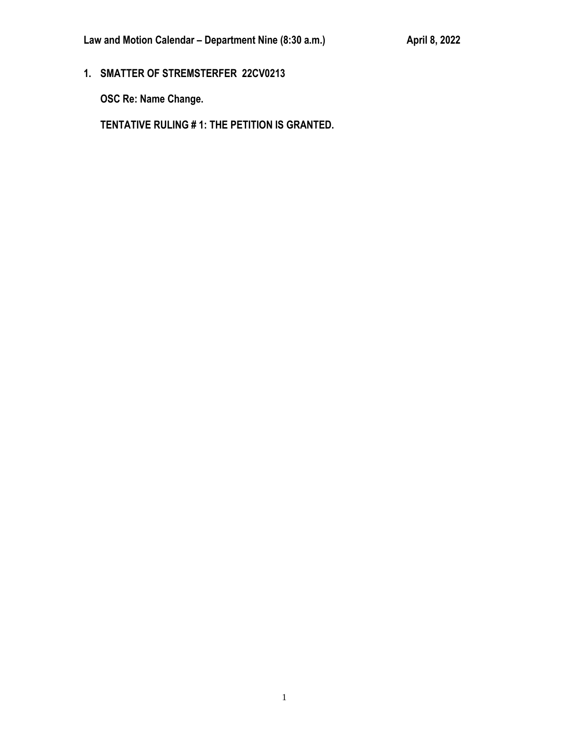**1. SMATTER OF STREMSTERFER 22CV0213**

**OSC Re: Name Change.**

**TENTATIVE RULING # 1: THE PETITION IS GRANTED.**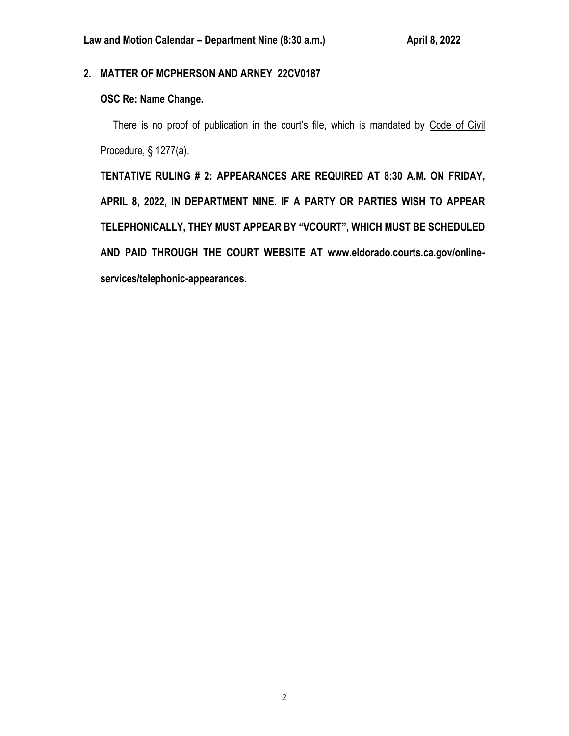# **2. MATTER OF MCPHERSON AND ARNEY 22CV0187**

# **OSC Re: Name Change.**

There is no proof of publication in the court's file, which is mandated by Code of Civil Procedure, § 1277(a).

**TENTATIVE RULING # 2: APPEARANCES ARE REQUIRED AT 8:30 A.M. ON FRIDAY, APRIL 8, 2022, IN DEPARTMENT NINE. IF A PARTY OR PARTIES WISH TO APPEAR TELEPHONICALLY, THEY MUST APPEAR BY "VCOURT", WHICH MUST BE SCHEDULED AND PAID THROUGH THE COURT WEBSITE AT www.eldorado.courts.ca.gov/onlineservices/telephonic-appearances.**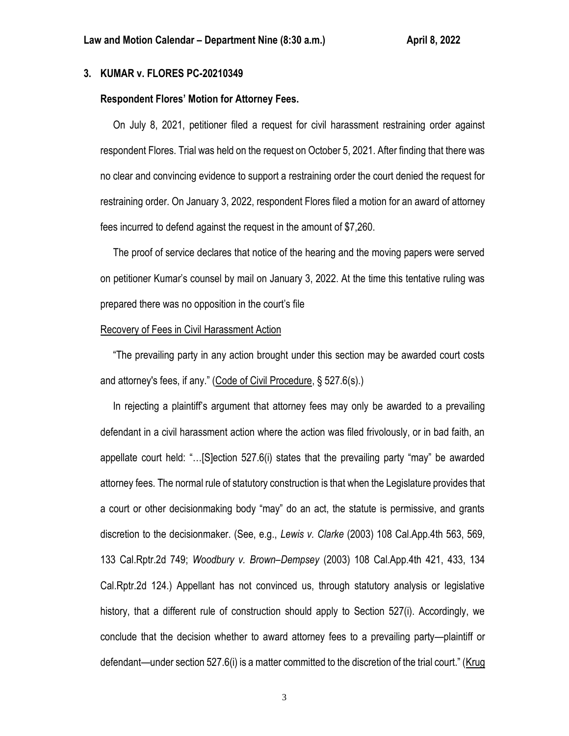# **3. KUMAR v. FLORES PC-20210349**

### **Respondent Flores' Motion for Attorney Fees.**

 On July 8, 2021, petitioner filed a request for civil harassment restraining order against respondent Flores. Trial was held on the request on October 5, 2021. After finding that there was no clear and convincing evidence to support a restraining order the court denied the request for restraining order. On January 3, 2022, respondent Flores filed a motion for an award of attorney fees incurred to defend against the request in the amount of \$7,260.

 The proof of service declares that notice of the hearing and the moving papers were served on petitioner Kumar's counsel by mail on January 3, 2022. At the time this tentative ruling was prepared there was no opposition in the court's file

### Recovery of Fees in Civil Harassment Action

 "The prevailing party in any action brought under this section may be awarded court costs and attorney's fees, if any." (Code of Civil Procedure, § 527.6(s).)

 In rejecting a plaintiff's argument that attorney fees may only be awarded to a prevailing defendant in a civil harassment action where the action was filed frivolously, or in bad faith, an appellate court held: "…[S]ection 527.6(i) states that the prevailing party "may" be awarded attorney fees. The normal rule of statutory construction is that when the Legislature provides that a court or other decisionmaking body "may" do an act, the statute is permissive, and grants discretion to the decisionmaker. (See, e.g., *Lewis v. Clarke* (2003) 108 Cal.App.4th 563, 569, 133 Cal.Rptr.2d 749; *Woodbury v. Brown–Dempsey* (2003) 108 Cal.App.4th 421, 433, 134 Cal.Rptr.2d 124.) Appellant has not convinced us, through statutory analysis or legislative history, that a different rule of construction should apply to Section 527(i). Accordingly, we conclude that the decision whether to award attorney fees to a prevailing party—plaintiff or defendant—under section 527.6(i) is a matter committed to the discretion of the trial court." (Krug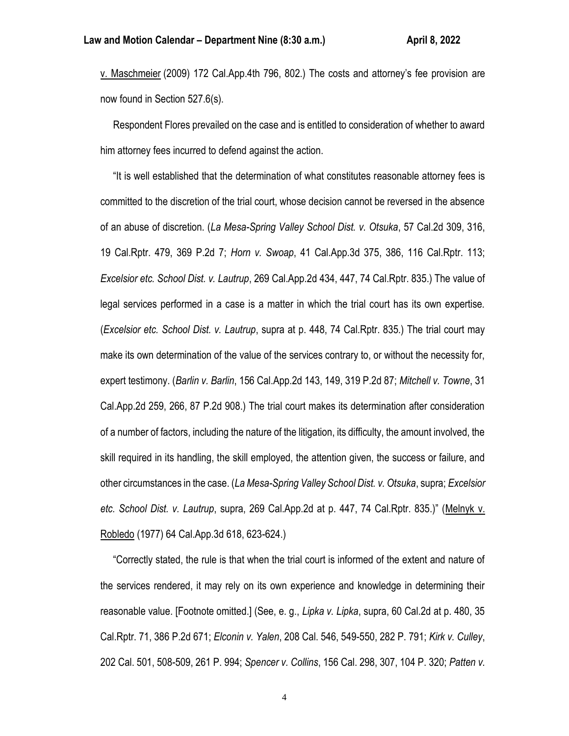v. Maschmeier (2009) 172 Cal.App.4th 796, 802.) The costs and attorney's fee provision are now found in Section 527.6(s).

 Respondent Flores prevailed on the case and is entitled to consideration of whether to award him attorney fees incurred to defend against the action.

 "It is well established that the determination of what constitutes reasonable attorney fees is committed to the discretion of the trial court, whose decision cannot be reversed in the absence of an abuse of discretion. (*La Mesa-Spring Valley School Dist. v. Otsuka*, 57 Cal.2d 309, 316, 19 Cal.Rptr. 479, 369 P.2d 7; *Horn v. Swoap*, 41 Cal.App.3d 375, 386, 116 Cal.Rptr. 113; *Excelsior etc. School Dist. v. Lautrup*, 269 Cal.App.2d 434, 447, 74 Cal.Rptr. 835.) The value of legal services performed in a case is a matter in which the trial court has its own expertise. (*Excelsior etc. School Dist. v. Lautrup*, supra at p. 448, 74 Cal.Rptr. 835.) The trial court may make its own determination of the value of the services contrary to, or without the necessity for, expert testimony. (*Barlin v. Barlin*, 156 Cal.App.2d 143, 149, 319 P.2d 87; *Mitchell v. Towne*, 31 Cal.App.2d 259, 266, 87 P.2d 908.) The trial court makes its determination after consideration of a number of factors, including the nature of the litigation, its difficulty, the amount involved, the skill required in its handling, the skill employed, the attention given, the success or failure, and other circumstances in the case. (*La Mesa-Spring Valley School Dist. v. Otsuka*, supra; *Excelsior etc. School Dist. v. Lautrup*, supra, 269 Cal.App.2d at p. 447, 74 Cal.Rptr. 835.)" (Melnyk v. Robledo (1977) 64 Cal.App.3d 618, 623-624.)

 "Correctly stated, the rule is that when the trial court is informed of the extent and nature of the services rendered, it may rely on its own experience and knowledge in determining their reasonable value. [Footnote omitted.] (See, e. g., *Lipka v. Lipka*, supra, 60 Cal.2d at p. 480, 35 Cal.Rptr. 71, 386 P.2d 671; *Elconin v. Yalen*, 208 Cal. 546, 549-550, 282 P. 791; *Kirk v. Culley*, 202 Cal. 501, 508-509, 261 P. 994; *Spencer v. Collins*, 156 Cal. 298, 307, 104 P. 320; *Patten v.*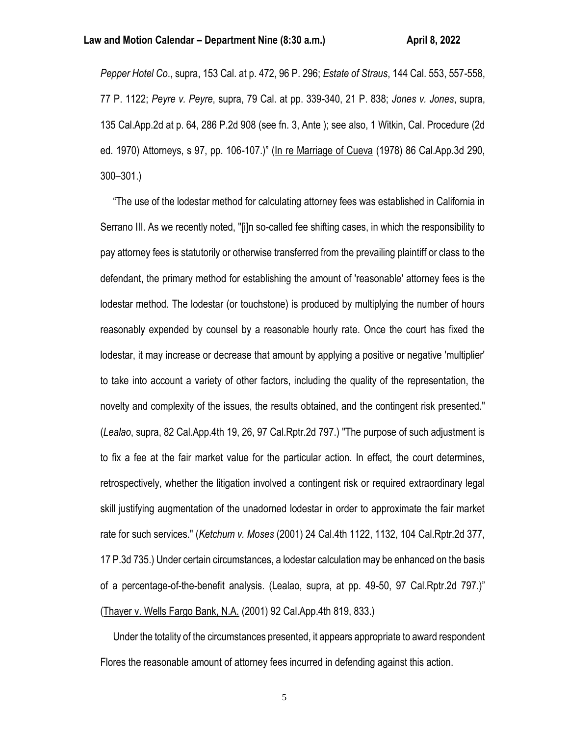*Pepper Hotel Co*., supra, 153 Cal. at p. 472, 96 P. 296; *Estate of Straus*, 144 Cal. 553, 557-558, 77 P. 1122; *Peyre v. Peyre*, supra, 79 Cal. at pp. 339-340, 21 P. 838; *Jones v. Jones*, supra, 135 Cal.App.2d at p. 64, 286 P.2d 908 (see fn. 3, Ante ); see also, 1 Witkin, Cal. Procedure (2d ed. 1970) Attorneys, s 97, pp. 106-107.)" (In re Marriage of Cueva (1978) 86 Cal.App.3d 290, 300–301.)

 "The use of the lodestar method for calculating attorney fees was established in California in Serrano III. As we recently noted, "[i]n so-called fee shifting cases, in which the responsibility to pay attorney fees is statutorily or otherwise transferred from the prevailing plaintiff or class to the defendant, the primary method for establishing the amount of 'reasonable' attorney fees is the lodestar method. The lodestar (or touchstone) is produced by multiplying the number of hours reasonably expended by counsel by a reasonable hourly rate. Once the court has fixed the lodestar, it may increase or decrease that amount by applying a positive or negative 'multiplier' to take into account a variety of other factors, including the quality of the representation, the novelty and complexity of the issues, the results obtained, and the contingent risk presented." (*Lealao*, supra, 82 Cal.App.4th 19, 26, 97 Cal.Rptr.2d 797.) "The purpose of such adjustment is to fix a fee at the fair market value for the particular action. In effect, the court determines, retrospectively, whether the litigation involved a contingent risk or required extraordinary legal skill justifying augmentation of the unadorned lodestar in order to approximate the fair market rate for such services." (*Ketchum v. Moses* (2001) 24 Cal.4th 1122, 1132, 104 Cal.Rptr.2d 377, 17 P.3d 735.) Under certain circumstances, a lodestar calculation may be enhanced on the basis of a percentage-of-the-benefit analysis. (Lealao, supra, at pp. 49-50, 97 Cal.Rptr.2d 797.)" (Thayer v. Wells Fargo Bank, N.A. (2001) 92 Cal.App.4th 819, 833.)

 Under the totality of the circumstances presented, it appears appropriate to award respondent Flores the reasonable amount of attorney fees incurred in defending against this action.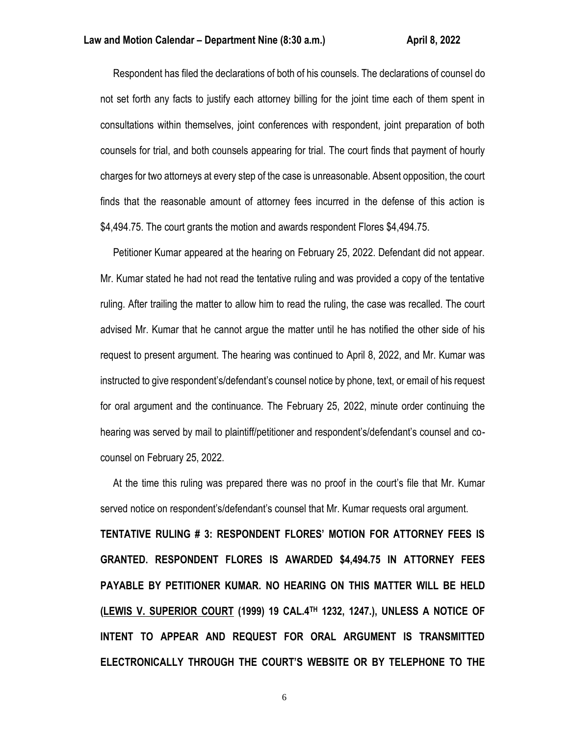Respondent has filed the declarations of both of his counsels. The declarations of counsel do not set forth any facts to justify each attorney billing for the joint time each of them spent in consultations within themselves, joint conferences with respondent, joint preparation of both counsels for trial, and both counsels appearing for trial. The court finds that payment of hourly charges for two attorneys at every step of the case is unreasonable. Absent opposition, the court finds that the reasonable amount of attorney fees incurred in the defense of this action is \$4,494.75. The court grants the motion and awards respondent Flores \$4,494.75.

 Petitioner Kumar appeared at the hearing on February 25, 2022. Defendant did not appear. Mr. Kumar stated he had not read the tentative ruling and was provided a copy of the tentative ruling. After trailing the matter to allow him to read the ruling, the case was recalled. The court advised Mr. Kumar that he cannot argue the matter until he has notified the other side of his request to present argument. The hearing was continued to April 8, 2022, and Mr. Kumar was instructed to give respondent's/defendant's counsel notice by phone, text, or email of his request for oral argument and the continuance. The February 25, 2022, minute order continuing the hearing was served by mail to plaintiff/petitioner and respondent's/defendant's counsel and cocounsel on February 25, 2022.

 At the time this ruling was prepared there was no proof in the court's file that Mr. Kumar served notice on respondent's/defendant's counsel that Mr. Kumar requests oral argument.

**TENTATIVE RULING # 3: RESPONDENT FLORES' MOTION FOR ATTORNEY FEES IS GRANTED. RESPONDENT FLORES IS AWARDED \$4,494.75 IN ATTORNEY FEES PAYABLE BY PETITIONER KUMAR. NO HEARING ON THIS MATTER WILL BE HELD (LEWIS V. SUPERIOR COURT (1999) 19 CAL.4TH 1232, 1247.), UNLESS A NOTICE OF INTENT TO APPEAR AND REQUEST FOR ORAL ARGUMENT IS TRANSMITTED ELECTRONICALLY THROUGH THE COURT'S WEBSITE OR BY TELEPHONE TO THE**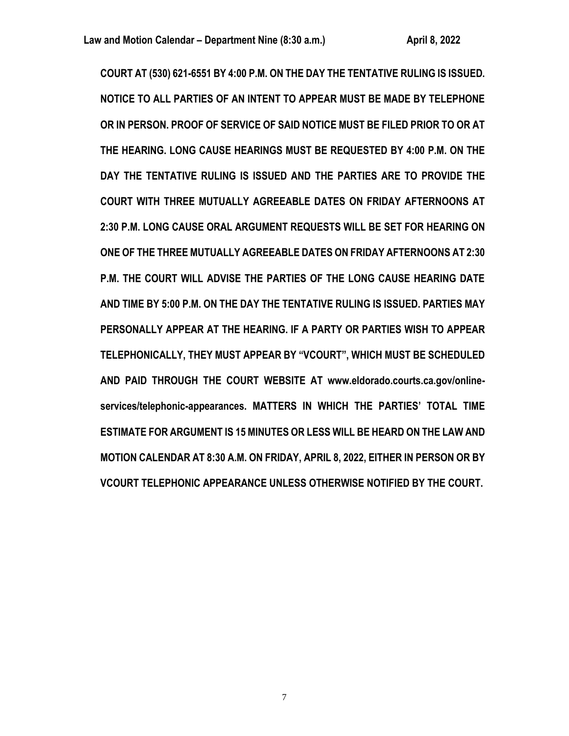**COURT AT (530) 621-6551 BY 4:00 P.M. ON THE DAY THE TENTATIVE RULING IS ISSUED. NOTICE TO ALL PARTIES OF AN INTENT TO APPEAR MUST BE MADE BY TELEPHONE OR IN PERSON. PROOF OF SERVICE OF SAID NOTICE MUST BE FILED PRIOR TO OR AT THE HEARING. LONG CAUSE HEARINGS MUST BE REQUESTED BY 4:00 P.M. ON THE DAY THE TENTATIVE RULING IS ISSUED AND THE PARTIES ARE TO PROVIDE THE COURT WITH THREE MUTUALLY AGREEABLE DATES ON FRIDAY AFTERNOONS AT 2:30 P.M. LONG CAUSE ORAL ARGUMENT REQUESTS WILL BE SET FOR HEARING ON ONE OF THE THREE MUTUALLY AGREEABLE DATES ON FRIDAY AFTERNOONS AT 2:30 P.M. THE COURT WILL ADVISE THE PARTIES OF THE LONG CAUSE HEARING DATE AND TIME BY 5:00 P.M. ON THE DAY THE TENTATIVE RULING IS ISSUED. PARTIES MAY PERSONALLY APPEAR AT THE HEARING. IF A PARTY OR PARTIES WISH TO APPEAR TELEPHONICALLY, THEY MUST APPEAR BY "VCOURT", WHICH MUST BE SCHEDULED AND PAID THROUGH THE COURT WEBSITE AT www.eldorado.courts.ca.gov/onlineservices/telephonic-appearances. MATTERS IN WHICH THE PARTIES' TOTAL TIME ESTIMATE FOR ARGUMENT IS 15 MINUTES OR LESS WILL BE HEARD ON THE LAW AND MOTION CALENDAR AT 8:30 A.M. ON FRIDAY, APRIL 8, 2022, EITHER IN PERSON OR BY VCOURT TELEPHONIC APPEARANCE UNLESS OTHERWISE NOTIFIED BY THE COURT.**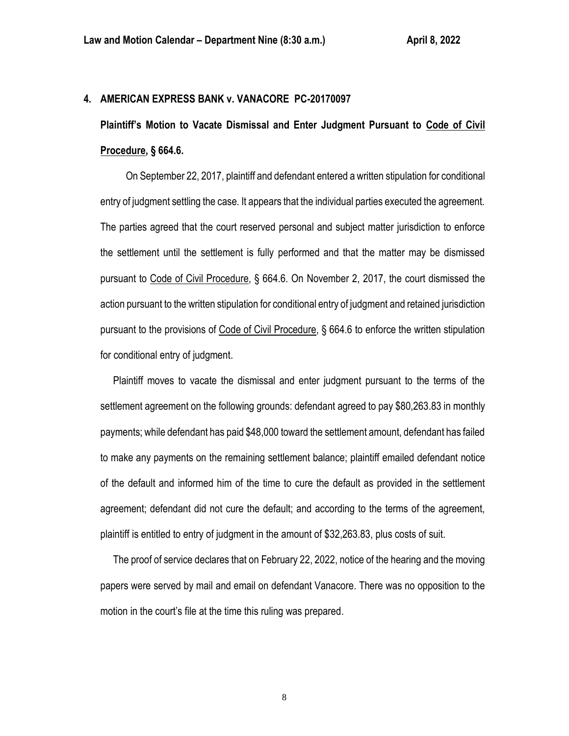## **4. AMERICAN EXPRESS BANK v. VANACORE PC-20170097**

# **Plaintiff's Motion to Vacate Dismissal and Enter Judgment Pursuant to Code of Civil Procedure, § 664.6.**

 On September 22, 2017, plaintiff and defendant entered a written stipulation for conditional entry of judgment settling the case. It appears that the individual parties executed the agreement. The parties agreed that the court reserved personal and subject matter jurisdiction to enforce the settlement until the settlement is fully performed and that the matter may be dismissed pursuant to Code of Civil Procedure, § 664.6. On November 2, 2017, the court dismissed the action pursuant to the written stipulation for conditional entry of judgment and retained jurisdiction pursuant to the provisions of Code of Civil Procedure, § 664.6 to enforce the written stipulation for conditional entry of judgment.

 Plaintiff moves to vacate the dismissal and enter judgment pursuant to the terms of the settlement agreement on the following grounds: defendant agreed to pay \$80,263.83 in monthly payments; while defendant has paid \$48,000 toward the settlement amount, defendant has failed to make any payments on the remaining settlement balance; plaintiff emailed defendant notice of the default and informed him of the time to cure the default as provided in the settlement agreement; defendant did not cure the default; and according to the terms of the agreement, plaintiff is entitled to entry of judgment in the amount of \$32,263.83, plus costs of suit.

 The proof of service declares that on February 22, 2022, notice of the hearing and the moving papers were served by mail and email on defendant Vanacore. There was no opposition to the motion in the court's file at the time this ruling was prepared.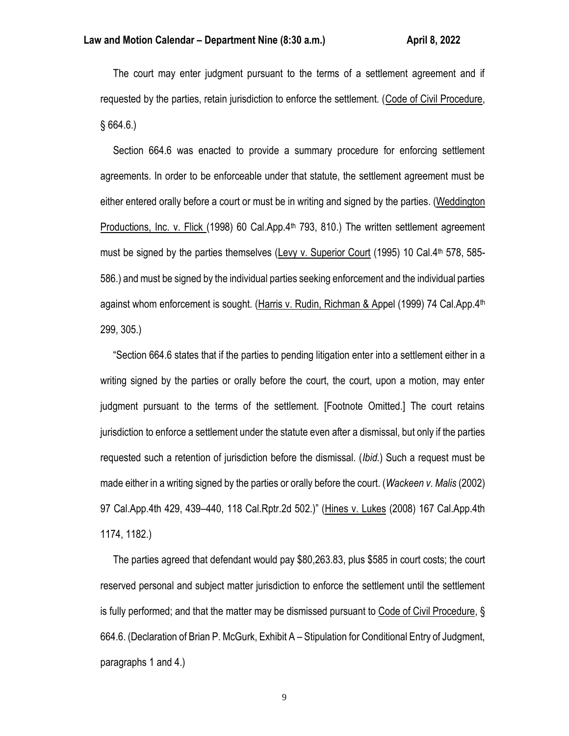The court may enter judgment pursuant to the terms of a settlement agreement and if requested by the parties, retain jurisdiction to enforce the settlement. (Code of Civil Procedure,  $§664.6.$ 

 Section 664.6 was enacted to provide a summary procedure for enforcing settlement agreements. In order to be enforceable under that statute, the settlement agreement must be either entered orally before a court or must be in writing and signed by the parties. (Weddington Productions, Inc. v. Flick (1998) 60 Cal.App.4<sup>th</sup> 793, 810.) The written settlement agreement must be signed by the parties themselves (Levy v. Superior Court (1995) 10 Cal. $4<sup>th</sup>$  578, 585-586.) and must be signed by the individual parties seeking enforcement and the individual parties against whom enforcement is sought. (Harris v. Rudin, Richman & Appel (1999) 74 Cal.App.4<sup>th</sup> 299, 305.)

 "Section 664.6 states that if the parties to pending litigation enter into a settlement either in a writing signed by the parties or orally before the court, the court, upon a motion, may enter judgment pursuant to the terms of the settlement. [Footnote Omitted.] The court retains jurisdiction to enforce a settlement under the statute even after a dismissal, but only if the parties requested such a retention of jurisdiction before the dismissal. (*Ibid.*) Such a request must be made either in a writing signed by the parties or orally before the court. (*Wackeen v. Malis* (2002) 97 Cal.App.4th 429, 439–440, 118 Cal.Rptr.2d 502.)" (Hines v. Lukes (2008) 167 Cal.App.4th 1174, 1182.)

 The parties agreed that defendant would pay \$80,263.83, plus \$585 in court costs; the court reserved personal and subject matter jurisdiction to enforce the settlement until the settlement is fully performed; and that the matter may be dismissed pursuant to Code of Civil Procedure, § 664.6. (Declaration of Brian P. McGurk, Exhibit A – Stipulation for Conditional Entry of Judgment, paragraphs 1 and 4.)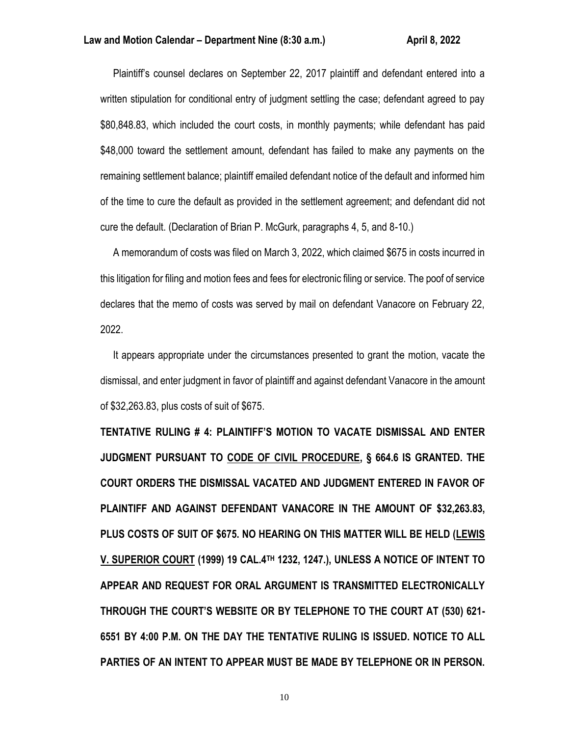Plaintiff's counsel declares on September 22, 2017 plaintiff and defendant entered into a written stipulation for conditional entry of judgment settling the case; defendant agreed to pay \$80,848.83, which included the court costs, in monthly payments; while defendant has paid \$48,000 toward the settlement amount, defendant has failed to make any payments on the remaining settlement balance; plaintiff emailed defendant notice of the default and informed him of the time to cure the default as provided in the settlement agreement; and defendant did not cure the default. (Declaration of Brian P. McGurk, paragraphs 4, 5, and 8-10.)

 A memorandum of costs was filed on March 3, 2022, which claimed \$675 in costs incurred in this litigation for filing and motion fees and fees for electronic filing or service. The poof of service declares that the memo of costs was served by mail on defendant Vanacore on February 22, 2022.

 It appears appropriate under the circumstances presented to grant the motion, vacate the dismissal, and enter judgment in favor of plaintiff and against defendant Vanacore in the amount of \$32,263.83, plus costs of suit of \$675.

**TENTATIVE RULING # 4: PLAINTIFF'S MOTION TO VACATE DISMISSAL AND ENTER JUDGMENT PURSUANT TO CODE OF CIVIL PROCEDURE, § 664.6 IS GRANTED. THE COURT ORDERS THE DISMISSAL VACATED AND JUDGMENT ENTERED IN FAVOR OF PLAINTIFF AND AGAINST DEFENDANT VANACORE IN THE AMOUNT OF \$32,263.83, PLUS COSTS OF SUIT OF \$675. NO HEARING ON THIS MATTER WILL BE HELD (LEWIS V. SUPERIOR COURT (1999) 19 CAL.4TH 1232, 1247.), UNLESS A NOTICE OF INTENT TO APPEAR AND REQUEST FOR ORAL ARGUMENT IS TRANSMITTED ELECTRONICALLY THROUGH THE COURT'S WEBSITE OR BY TELEPHONE TO THE COURT AT (530) 621- 6551 BY 4:00 P.M. ON THE DAY THE TENTATIVE RULING IS ISSUED. NOTICE TO ALL PARTIES OF AN INTENT TO APPEAR MUST BE MADE BY TELEPHONE OR IN PERSON.**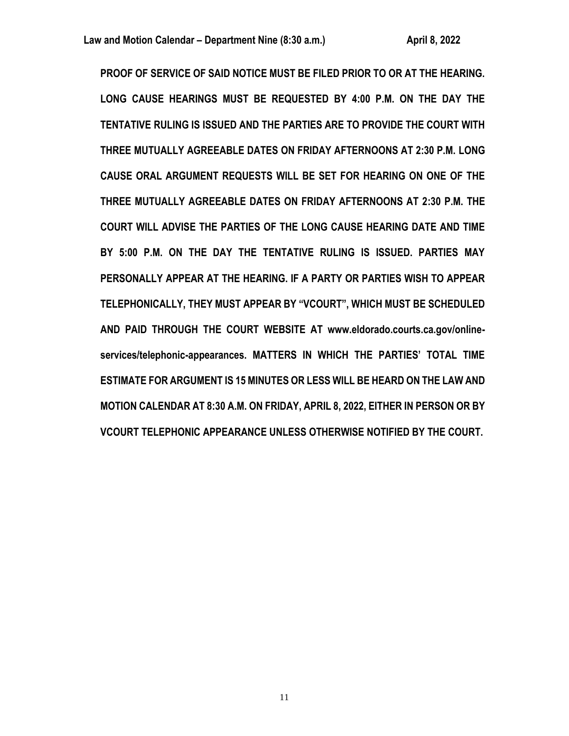**PROOF OF SERVICE OF SAID NOTICE MUST BE FILED PRIOR TO OR AT THE HEARING. LONG CAUSE HEARINGS MUST BE REQUESTED BY 4:00 P.M. ON THE DAY THE TENTATIVE RULING IS ISSUED AND THE PARTIES ARE TO PROVIDE THE COURT WITH THREE MUTUALLY AGREEABLE DATES ON FRIDAY AFTERNOONS AT 2:30 P.M. LONG CAUSE ORAL ARGUMENT REQUESTS WILL BE SET FOR HEARING ON ONE OF THE THREE MUTUALLY AGREEABLE DATES ON FRIDAY AFTERNOONS AT 2:30 P.M. THE COURT WILL ADVISE THE PARTIES OF THE LONG CAUSE HEARING DATE AND TIME BY 5:00 P.M. ON THE DAY THE TENTATIVE RULING IS ISSUED. PARTIES MAY PERSONALLY APPEAR AT THE HEARING. IF A PARTY OR PARTIES WISH TO APPEAR TELEPHONICALLY, THEY MUST APPEAR BY "VCOURT", WHICH MUST BE SCHEDULED AND PAID THROUGH THE COURT WEBSITE AT www.eldorado.courts.ca.gov/onlineservices/telephonic-appearances. MATTERS IN WHICH THE PARTIES' TOTAL TIME ESTIMATE FOR ARGUMENT IS 15 MINUTES OR LESS WILL BE HEARD ON THE LAW AND MOTION CALENDAR AT 8:30 A.M. ON FRIDAY, APRIL 8, 2022, EITHER IN PERSON OR BY VCOURT TELEPHONIC APPEARANCE UNLESS OTHERWISE NOTIFIED BY THE COURT.**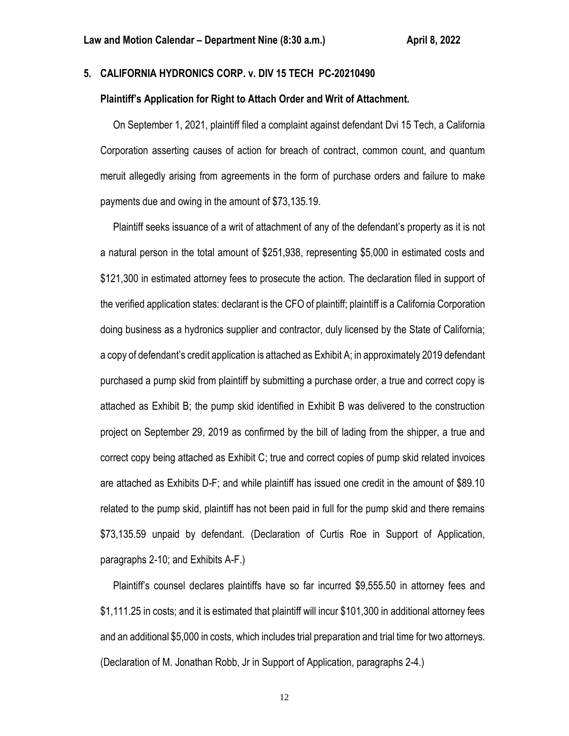## **5. CALIFORNIA HYDRONICS CORP. v. DIV 15 TECH PC-20210490**

### **Plaintiff's Application for Right to Attach Order and Writ of Attachment.**

 On September 1, 2021, plaintiff filed a complaint against defendant Dvi 15 Tech, a California Corporation asserting causes of action for breach of contract, common count, and quantum meruit allegedly arising from agreements in the form of purchase orders and failure to make payments due and owing in the amount of \$73,135.19.

 Plaintiff seeks issuance of a writ of attachment of any of the defendant's property as it is not a natural person in the total amount of \$251,938, representing \$5,000 in estimated costs and \$121,300 in estimated attorney fees to prosecute the action. The declaration filed in support of the verified application states: declarant is the CFO of plaintiff; plaintiff is a California Corporation doing business as a hydronics supplier and contractor, duly licensed by the State of California; a copy of defendant's credit application is attached as Exhibit A; in approximately 2019 defendant purchased a pump skid from plaintiff by submitting a purchase order, a true and correct copy is attached as Exhibit B; the pump skid identified in Exhibit B was delivered to the construction project on September 29, 2019 as confirmed by the bill of lading from the shipper, a true and correct copy being attached as Exhibit C; true and correct copies of pump skid related invoices are attached as Exhibits D-F; and while plaintiff has issued one credit in the amount of \$89.10 related to the pump skid, plaintiff has not been paid in full for the pump skid and there remains \$73,135.59 unpaid by defendant. (Declaration of Curtis Roe in Support of Application, paragraphs 2-10; and Exhibits A-F.)

 Plaintiff's counsel declares plaintiffs have so far incurred \$9,555.50 in attorney fees and \$1,111.25 in costs; and it is estimated that plaintiff will incur \$101,300 in additional attorney fees and an additional \$5,000 in costs, which includes trial preparation and trial time for two attorneys. (Declaration of M. Jonathan Robb, Jr in Support of Application, paragraphs 2-4.)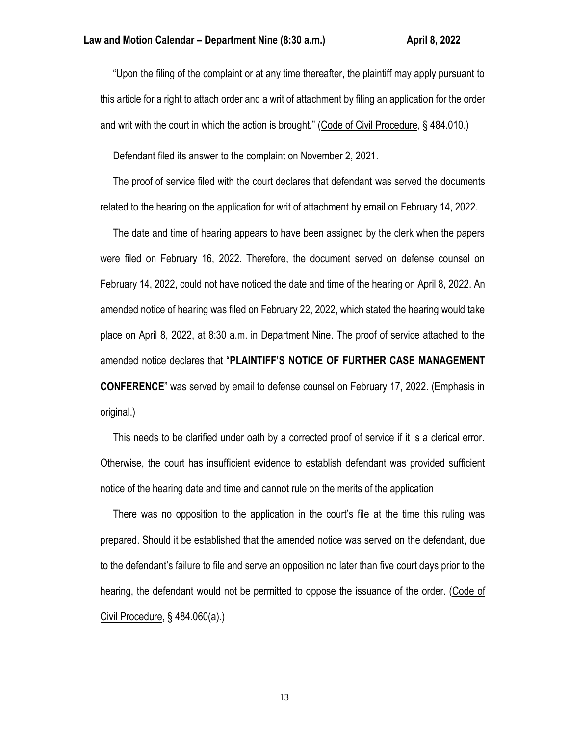"Upon the filing of the complaint or at any time thereafter, the plaintiff may apply pursuant to this article for a right to attach order and a writ of attachment by filing an application for the order and writ with the court in which the action is brought." (Code of Civil Procedure, § 484.010.)

Defendant filed its answer to the complaint on November 2, 2021.

 The proof of service filed with the court declares that defendant was served the documents related to the hearing on the application for writ of attachment by email on February 14, 2022.

 The date and time of hearing appears to have been assigned by the clerk when the papers were filed on February 16, 2022. Therefore, the document served on defense counsel on February 14, 2022, could not have noticed the date and time of the hearing on April 8, 2022. An amended notice of hearing was filed on February 22, 2022, which stated the hearing would take place on April 8, 2022, at 8:30 a.m. in Department Nine. The proof of service attached to the amended notice declares that "**PLAINTIFF'S NOTICE OF FURTHER CASE MANAGEMENT CONFERENCE**" was served by email to defense counsel on February 17, 2022. (Emphasis in original.)

 This needs to be clarified under oath by a corrected proof of service if it is a clerical error. Otherwise, the court has insufficient evidence to establish defendant was provided sufficient notice of the hearing date and time and cannot rule on the merits of the application

 There was no opposition to the application in the court's file at the time this ruling was prepared. Should it be established that the amended notice was served on the defendant, due to the defendant's failure to file and serve an opposition no later than five court days prior to the hearing, the defendant would not be permitted to oppose the issuance of the order. (Code of Civil Procedure, § 484.060(a).)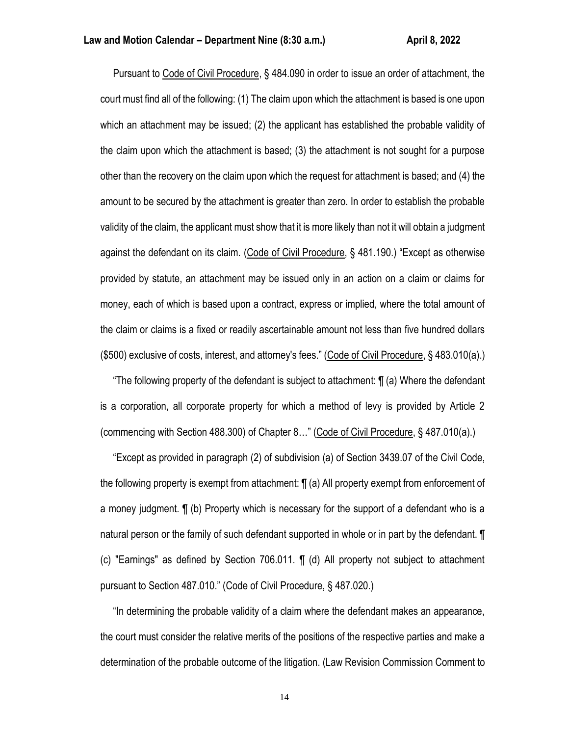Pursuant to Code of Civil Procedure, § 484.090 in order to issue an order of attachment, the court must find all of the following: (1) The claim upon which the attachment is based is one upon which an attachment may be issued; (2) the applicant has established the probable validity of the claim upon which the attachment is based; (3) the attachment is not sought for a purpose other than the recovery on the claim upon which the request for attachment is based; and (4) the amount to be secured by the attachment is greater than zero. In order to establish the probable validity of the claim, the applicant must show that it is more likely than not it will obtain a judgment against the defendant on its claim. (Code of Civil Procedure, § 481.190.) "Except as otherwise provided by statute, an attachment may be issued only in an action on a claim or claims for money, each of which is based upon a contract, express or implied, where the total amount of the claim or claims is a fixed or readily ascertainable amount not less than five hundred dollars (\$500) exclusive of costs, interest, and attorney's fees." (Code of Civil Procedure, § 483.010(a).)

 "The following property of the defendant is subject to attachment: ¶ (a) Where the defendant is a corporation, all corporate property for which a method of levy is provided by Article 2 (commencing with Section 488.300) of Chapter 8…" (Code of Civil Procedure, § 487.010(a).)

 "Except as provided in paragraph (2) of subdivision (a) of Section 3439.07 of the Civil Code, the following property is exempt from attachment: ¶ (a) All property exempt from enforcement of a money judgment. ¶ (b) Property which is necessary for the support of a defendant who is a natural person or the family of such defendant supported in whole or in part by the defendant. ¶ (c) "Earnings" as defined by Section 706.011. ¶ (d) All property not subject to attachment pursuant to Section 487.010." (Code of Civil Procedure, § 487.020.)

 "In determining the probable validity of a claim where the defendant makes an appearance, the court must consider the relative merits of the positions of the respective parties and make a determination of the probable outcome of the litigation. (Law Revision Commission Comment to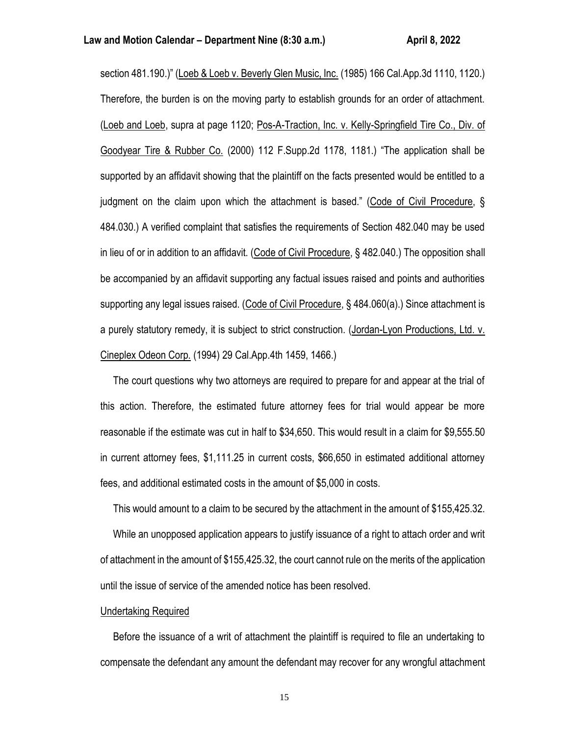section 481.190.)" (Loeb & Loeb v. Beverly Glen Music, Inc. (1985) 166 Cal.App.3d 1110, 1120.) Therefore, the burden is on the moving party to establish grounds for an order of attachment. (Loeb and Loeb, supra at page 1120; Pos-A-Traction, Inc. v. Kelly-Springfield Tire Co., Div. of Goodyear Tire & Rubber Co. (2000) 112 F.Supp.2d 1178, 1181.) "The application shall be supported by an affidavit showing that the plaintiff on the facts presented would be entitled to a judgment on the claim upon which the attachment is based." (Code of Civil Procedure, § 484.030.) A verified complaint that satisfies the requirements of Section 482.040 may be used in lieu of or in addition to an affidavit. (Code of Civil Procedure, § 482.040.) The opposition shall be accompanied by an affidavit supporting any factual issues raised and points and authorities supporting any legal issues raised. (Code of Civil Procedure, § 484.060(a).) Since attachment is a purely statutory remedy, it is subject to strict construction. (Jordan-Lyon Productions, Ltd. v. Cineplex Odeon Corp. (1994) 29 Cal.App.4th 1459, 1466.)

 The court questions why two attorneys are required to prepare for and appear at the trial of this action. Therefore, the estimated future attorney fees for trial would appear be more reasonable if the estimate was cut in half to \$34,650. This would result in a claim for \$9,555.50 in current attorney fees, \$1,111.25 in current costs, \$66,650 in estimated additional attorney fees, and additional estimated costs in the amount of \$5,000 in costs.

This would amount to a claim to be secured by the attachment in the amount of \$155,425.32.

 While an unopposed application appears to justify issuance of a right to attach order and writ of attachment in the amount of \$155,425.32, the court cannot rule on the merits of the application until the issue of service of the amended notice has been resolved.

#### Undertaking Required

 Before the issuance of a writ of attachment the plaintiff is required to file an undertaking to compensate the defendant any amount the defendant may recover for any wrongful attachment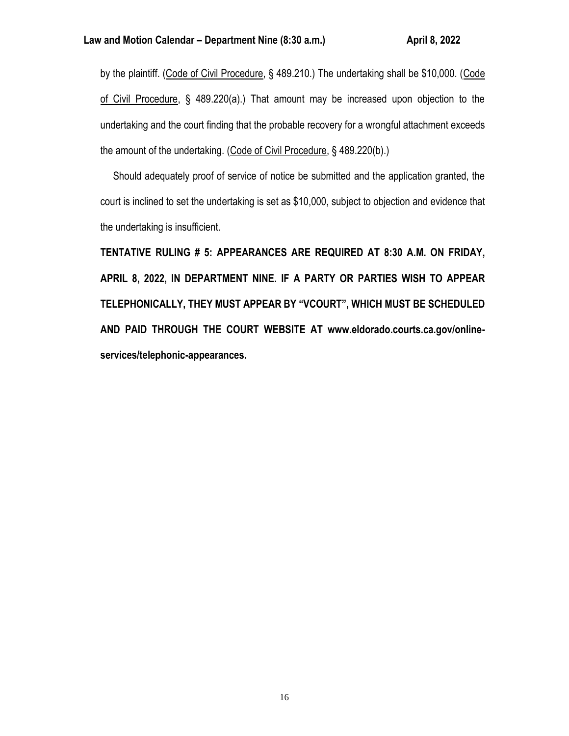by the plaintiff. (Code of Civil Procedure, § 489.210.) The undertaking shall be \$10,000. (Code of Civil Procedure, § 489.220(a).) That amount may be increased upon objection to the undertaking and the court finding that the probable recovery for a wrongful attachment exceeds the amount of the undertaking. (Code of Civil Procedure, § 489.220(b).)

 Should adequately proof of service of notice be submitted and the application granted, the court is inclined to set the undertaking is set as \$10,000, subject to objection and evidence that the undertaking is insufficient.

**TENTATIVE RULING # 5: APPEARANCES ARE REQUIRED AT 8:30 A.M. ON FRIDAY, APRIL 8, 2022, IN DEPARTMENT NINE. IF A PARTY OR PARTIES WISH TO APPEAR TELEPHONICALLY, THEY MUST APPEAR BY "VCOURT", WHICH MUST BE SCHEDULED AND PAID THROUGH THE COURT WEBSITE AT www.eldorado.courts.ca.gov/onlineservices/telephonic-appearances.**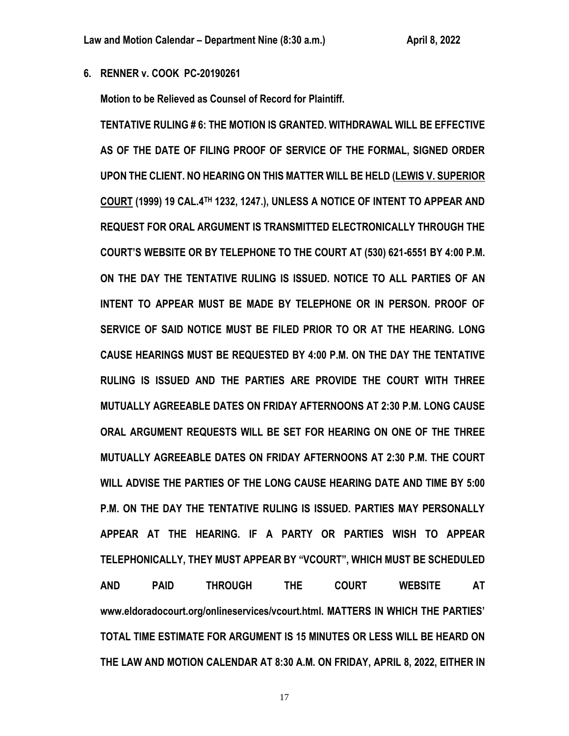**6. RENNER v. COOK PC-20190261**

**Motion to be Relieved as Counsel of Record for Plaintiff.**

**TENTATIVE RULING # 6: THE MOTION IS GRANTED. WITHDRAWAL WILL BE EFFECTIVE AS OF THE DATE OF FILING PROOF OF SERVICE OF THE FORMAL, SIGNED ORDER UPON THE CLIENT. NO HEARING ON THIS MATTER WILL BE HELD (LEWIS V. SUPERIOR COURT (1999) 19 CAL.4TH 1232, 1247.), UNLESS A NOTICE OF INTENT TO APPEAR AND REQUEST FOR ORAL ARGUMENT IS TRANSMITTED ELECTRONICALLY THROUGH THE COURT'S WEBSITE OR BY TELEPHONE TO THE COURT AT (530) 621-6551 BY 4:00 P.M. ON THE DAY THE TENTATIVE RULING IS ISSUED. NOTICE TO ALL PARTIES OF AN INTENT TO APPEAR MUST BE MADE BY TELEPHONE OR IN PERSON. PROOF OF SERVICE OF SAID NOTICE MUST BE FILED PRIOR TO OR AT THE HEARING. LONG CAUSE HEARINGS MUST BE REQUESTED BY 4:00 P.M. ON THE DAY THE TENTATIVE RULING IS ISSUED AND THE PARTIES ARE PROVIDE THE COURT WITH THREE MUTUALLY AGREEABLE DATES ON FRIDAY AFTERNOONS AT 2:30 P.M. LONG CAUSE ORAL ARGUMENT REQUESTS WILL BE SET FOR HEARING ON ONE OF THE THREE MUTUALLY AGREEABLE DATES ON FRIDAY AFTERNOONS AT 2:30 P.M. THE COURT WILL ADVISE THE PARTIES OF THE LONG CAUSE HEARING DATE AND TIME BY 5:00 P.M. ON THE DAY THE TENTATIVE RULING IS ISSUED. PARTIES MAY PERSONALLY APPEAR AT THE HEARING. IF A PARTY OR PARTIES WISH TO APPEAR TELEPHONICALLY, THEY MUST APPEAR BY "VCOURT", WHICH MUST BE SCHEDULED AND PAID THROUGH THE COURT WEBSITE AT www.eldoradocourt.org/onlineservices/vcourt.html. MATTERS IN WHICH THE PARTIES' TOTAL TIME ESTIMATE FOR ARGUMENT IS 15 MINUTES OR LESS WILL BE HEARD ON THE LAW AND MOTION CALENDAR AT 8:30 A.M. ON FRIDAY, APRIL 8, 2022, EITHER IN**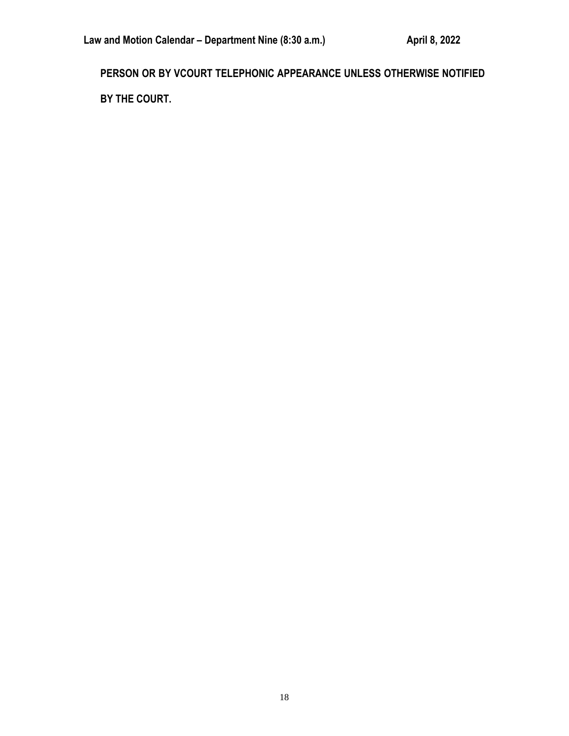**PERSON OR BY VCOURT TELEPHONIC APPEARANCE UNLESS OTHERWISE NOTIFIED BY THE COURT.**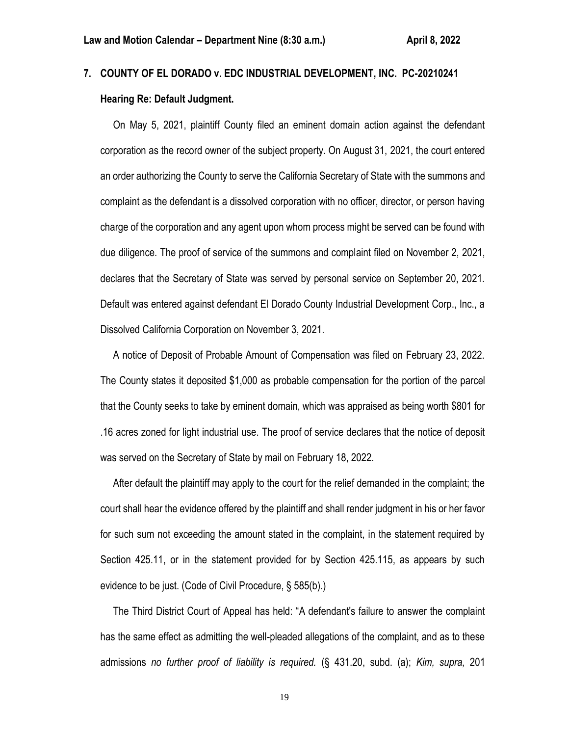# **7. COUNTY OF EL DORADO v. EDC INDUSTRIAL DEVELOPMENT, INC. PC-20210241 Hearing Re: Default Judgment.**

 On May 5, 2021, plaintiff County filed an eminent domain action against the defendant corporation as the record owner of the subject property. On August 31, 2021, the court entered an order authorizing the County to serve the California Secretary of State with the summons and complaint as the defendant is a dissolved corporation with no officer, director, or person having charge of the corporation and any agent upon whom process might be served can be found with due diligence. The proof of service of the summons and complaint filed on November 2, 2021, declares that the Secretary of State was served by personal service on September 20, 2021. Default was entered against defendant El Dorado County Industrial Development Corp., Inc., a Dissolved California Corporation on November 3, 2021.

 A notice of Deposit of Probable Amount of Compensation was filed on February 23, 2022. The County states it deposited \$1,000 as probable compensation for the portion of the parcel that the County seeks to take by eminent domain, which was appraised as being worth \$801 for .16 acres zoned for light industrial use. The proof of service declares that the notice of deposit was served on the Secretary of State by mail on February 18, 2022.

 After default the plaintiff may apply to the court for the relief demanded in the complaint; the court shall hear the evidence offered by the plaintiff and shall render judgment in his or her favor for such sum not exceeding the amount stated in the complaint, in the statement required by Section 425.11, or in the statement provided for by Section 425.115, as appears by such evidence to be just. (Code of Civil Procedure, § 585(b).)

 The Third District Court of Appeal has held: "A defendant's failure to answer the complaint has the same effect as admitting the well-pleaded allegations of the complaint, and as to these admissions *no further proof of liability is required.* (§ 431.20, subd. (a); *Kim, supra,* 201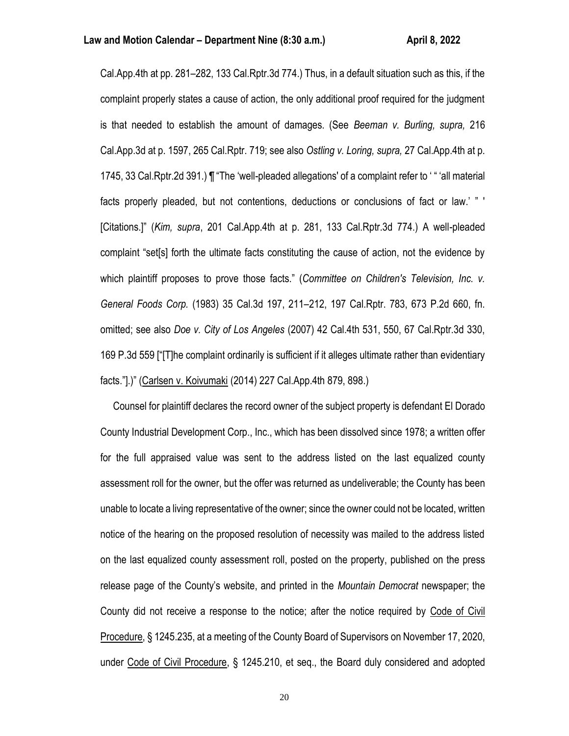Cal.App.4th at pp. 281–282, 133 Cal.Rptr.3d 774.) Thus, in a default situation such as this, if the complaint properly states a cause of action, the only additional proof required for the judgment is that needed to establish the amount of damages. (See *Beeman v. Burling, supra,* 216 Cal.App.3d at p. 1597, 265 Cal.Rptr. 719; see also *Ostling v. Loring, supra,* 27 Cal.App.4th at p. 1745, 33 Cal.Rptr.2d 391.) ¶ "The 'well-pleaded allegations' of a complaint refer to ' " 'all material facts properly pleaded, but not contentions, deductions or conclusions of fact or law.' " ' [Citations.]" (*Kim, supra*, 201 Cal.App.4th at p. 281, 133 Cal.Rptr.3d 774.) A well-pleaded complaint "set[s] forth the ultimate facts constituting the cause of action, not the evidence by which plaintiff proposes to prove those facts." (*Committee on Children's Television, Inc. v. General Foods Corp.* (1983) 35 Cal.3d 197, 211–212, 197 Cal.Rptr. 783, 673 P.2d 660, fn. omitted; see also *Doe v. City of Los Angeles* (2007) 42 Cal.4th 531, 550, 67 Cal.Rptr.3d 330, 169 P.3d 559 ["[T]he complaint ordinarily is sufficient if it alleges ultimate rather than evidentiary facts."].)" (Carlsen v. Koivumaki (2014) 227 Cal.App.4th 879, 898.)

 Counsel for plaintiff declares the record owner of the subject property is defendant El Dorado County Industrial Development Corp., Inc., which has been dissolved since 1978; a written offer for the full appraised value was sent to the address listed on the last equalized county assessment roll for the owner, but the offer was returned as undeliverable; the County has been unable to locate a living representative of the owner; since the owner could not be located, written notice of the hearing on the proposed resolution of necessity was mailed to the address listed on the last equalized county assessment roll, posted on the property, published on the press release page of the County's website, and printed in the *Mountain Democrat* newspaper; the County did not receive a response to the notice; after the notice required by Code of Civil Procedure, § 1245.235, at a meeting of the County Board of Supervisors on November 17, 2020, under Code of Civil Procedure, § 1245.210, et seq., the Board duly considered and adopted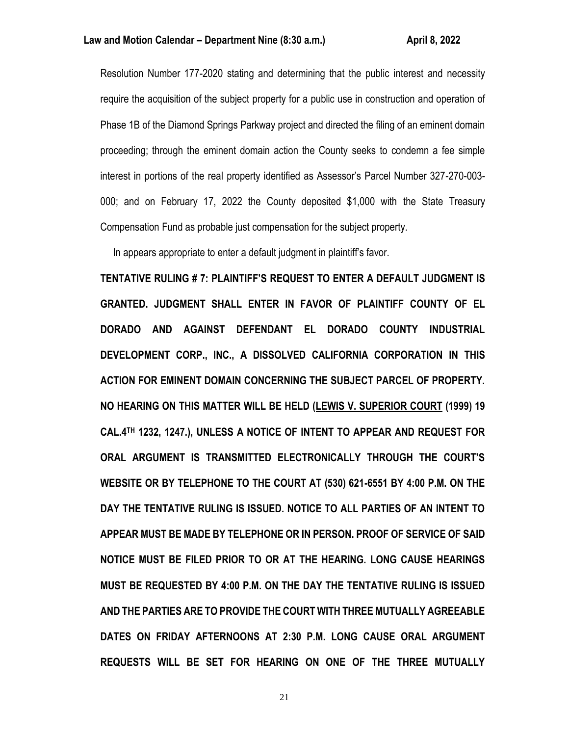Resolution Number 177-2020 stating and determining that the public interest and necessity require the acquisition of the subject property for a public use in construction and operation of Phase 1B of the Diamond Springs Parkway project and directed the filing of an eminent domain proceeding; through the eminent domain action the County seeks to condemn a fee simple interest in portions of the real property identified as Assessor's Parcel Number 327-270-003- 000; and on February 17, 2022 the County deposited \$1,000 with the State Treasury Compensation Fund as probable just compensation for the subject property.

In appears appropriate to enter a default judgment in plaintiff's favor.

**TENTATIVE RULING # 7: PLAINTIFF'S REQUEST TO ENTER A DEFAULT JUDGMENT IS GRANTED. JUDGMENT SHALL ENTER IN FAVOR OF PLAINTIFF COUNTY OF EL DORADO AND AGAINST DEFENDANT EL DORADO COUNTY INDUSTRIAL DEVELOPMENT CORP., INC., A DISSOLVED CALIFORNIA CORPORATION IN THIS ACTION FOR EMINENT DOMAIN CONCERNING THE SUBJECT PARCEL OF PROPERTY. NO HEARING ON THIS MATTER WILL BE HELD (LEWIS V. SUPERIOR COURT (1999) 19 CAL.4TH 1232, 1247.), UNLESS A NOTICE OF INTENT TO APPEAR AND REQUEST FOR ORAL ARGUMENT IS TRANSMITTED ELECTRONICALLY THROUGH THE COURT'S WEBSITE OR BY TELEPHONE TO THE COURT AT (530) 621-6551 BY 4:00 P.M. ON THE DAY THE TENTATIVE RULING IS ISSUED. NOTICE TO ALL PARTIES OF AN INTENT TO APPEAR MUST BE MADE BY TELEPHONE OR IN PERSON. PROOF OF SERVICE OF SAID NOTICE MUST BE FILED PRIOR TO OR AT THE HEARING. LONG CAUSE HEARINGS MUST BE REQUESTED BY 4:00 P.M. ON THE DAY THE TENTATIVE RULING IS ISSUED AND THE PARTIES ARE TO PROVIDE THE COURT WITH THREE MUTUALLY AGREEABLE DATES ON FRIDAY AFTERNOONS AT 2:30 P.M. LONG CAUSE ORAL ARGUMENT REQUESTS WILL BE SET FOR HEARING ON ONE OF THE THREE MUTUALLY**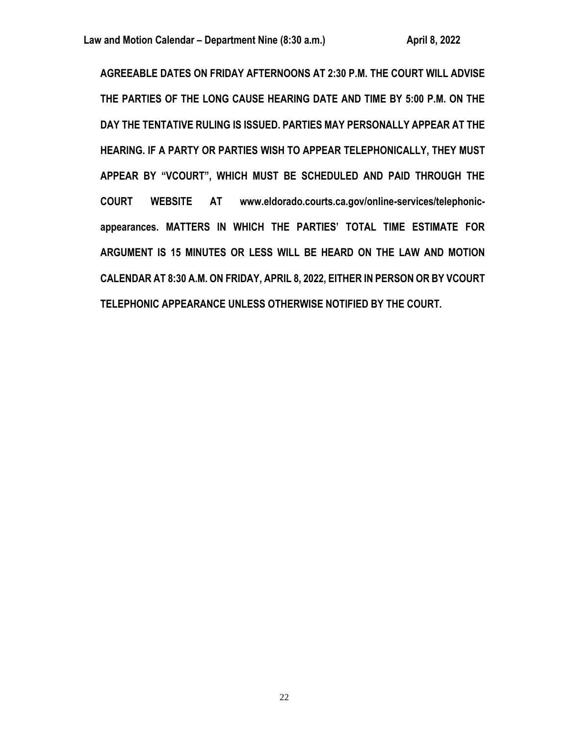**AGREEABLE DATES ON FRIDAY AFTERNOONS AT 2:30 P.M. THE COURT WILL ADVISE THE PARTIES OF THE LONG CAUSE HEARING DATE AND TIME BY 5:00 P.M. ON THE DAY THE TENTATIVE RULING IS ISSUED. PARTIES MAY PERSONALLY APPEAR AT THE HEARING. IF A PARTY OR PARTIES WISH TO APPEAR TELEPHONICALLY, THEY MUST APPEAR BY "VCOURT", WHICH MUST BE SCHEDULED AND PAID THROUGH THE COURT WEBSITE AT www.eldorado.courts.ca.gov/online-services/telephonicappearances. MATTERS IN WHICH THE PARTIES' TOTAL TIME ESTIMATE FOR ARGUMENT IS 15 MINUTES OR LESS WILL BE HEARD ON THE LAW AND MOTION CALENDAR AT 8:30 A.M. ON FRIDAY, APRIL 8, 2022, EITHER IN PERSON OR BY VCOURT TELEPHONIC APPEARANCE UNLESS OTHERWISE NOTIFIED BY THE COURT.**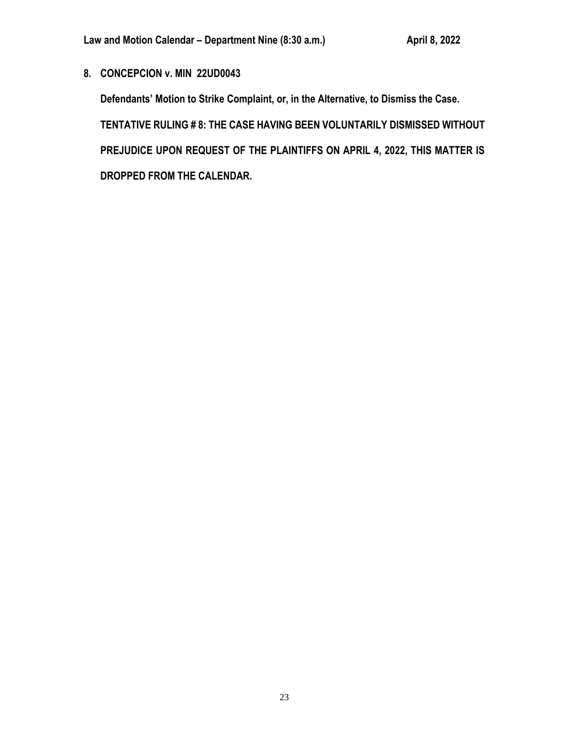**8. CONCEPCION v. MIN 22UD0043**

**Defendants' Motion to Strike Complaint, or, in the Alternative, to Dismiss the Case. TENTATIVE RULING # 8: THE CASE HAVING BEEN VOLUNTARILY DISMISSED WITHOUT PREJUDICE UPON REQUEST OF THE PLAINTIFFS ON APRIL 4, 2022, THIS MATTER IS DROPPED FROM THE CALENDAR.**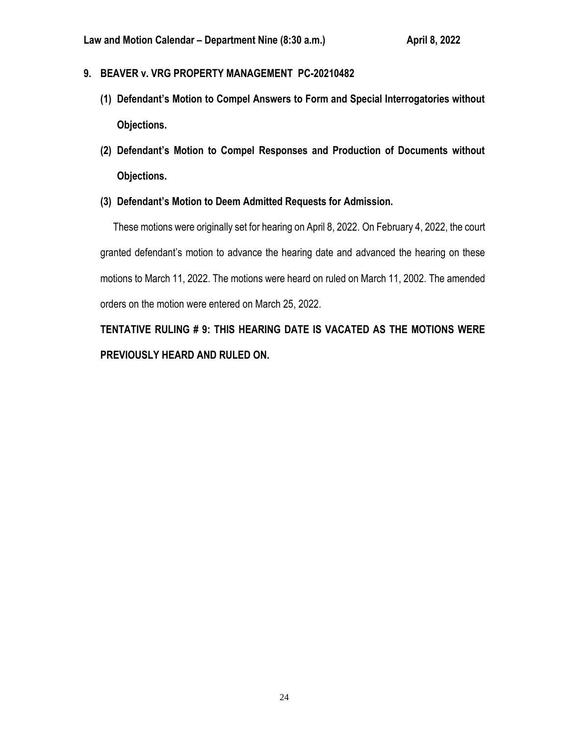# **9. BEAVER v. VRG PROPERTY MANAGEMENT PC-20210482**

- **(1) Defendant's Motion to Compel Answers to Form and Special Interrogatories without Objections.**
- **(2) Defendant's Motion to Compel Responses and Production of Documents without Objections.**
- **(3) Defendant's Motion to Deem Admitted Requests for Admission.**

 These motions were originally set for hearing on April 8, 2022. On February 4, 2022, the court granted defendant's motion to advance the hearing date and advanced the hearing on these motions to March 11, 2022. The motions were heard on ruled on March 11, 2002. The amended orders on the motion were entered on March 25, 2022.

**TENTATIVE RULING # 9: THIS HEARING DATE IS VACATED AS THE MOTIONS WERE PREVIOUSLY HEARD AND RULED ON.**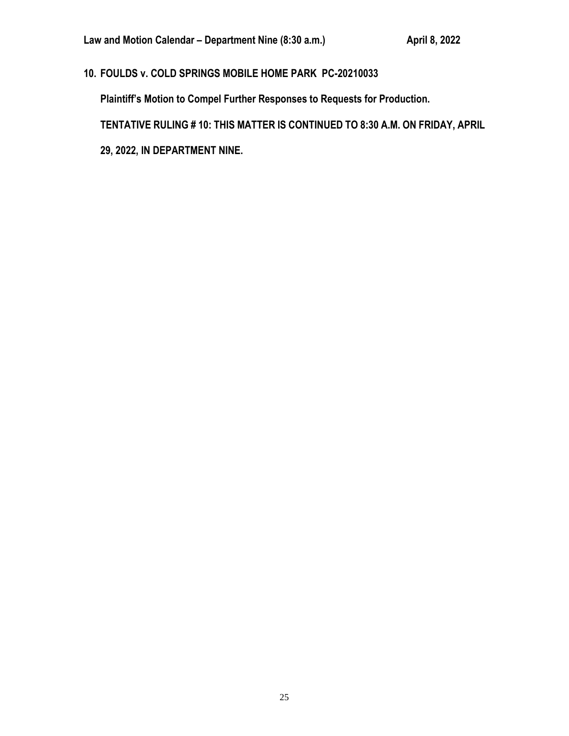# **10. FOULDS v. COLD SPRINGS MOBILE HOME PARK PC-20210033**

**Plaintiff's Motion to Compel Further Responses to Requests for Production. TENTATIVE RULING # 10: THIS MATTER IS CONTINUED TO 8:30 A.M. ON FRIDAY, APRIL 29, 2022, IN DEPARTMENT NINE.**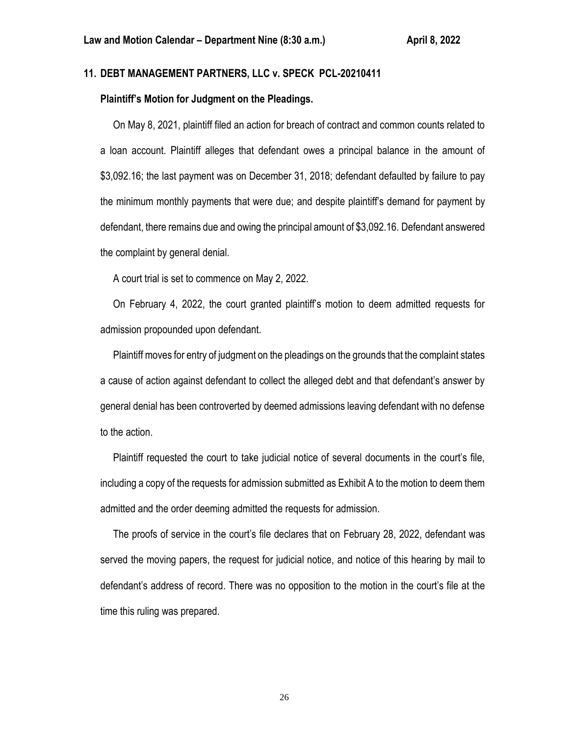## **11. DEBT MANAGEMENT PARTNERS, LLC v. SPECK PCL-20210411**

### **Plaintiff's Motion for Judgment on the Pleadings.**

 On May 8, 2021, plaintiff filed an action for breach of contract and common counts related to a loan account. Plaintiff alleges that defendant owes a principal balance in the amount of \$3,092.16; the last payment was on December 31, 2018; defendant defaulted by failure to pay the minimum monthly payments that were due; and despite plaintiff's demand for payment by defendant, there remains due and owing the principal amount of \$3,092.16. Defendant answered the complaint by general denial.

A court trial is set to commence on May 2, 2022.

 On February 4, 2022, the court granted plaintiff's motion to deem admitted requests for admission propounded upon defendant.

 Plaintiff moves for entry of judgment on the pleadings on the grounds that the complaint states a cause of action against defendant to collect the alleged debt and that defendant's answer by general denial has been controverted by deemed admissions leaving defendant with no defense to the action.

 Plaintiff requested the court to take judicial notice of several documents in the court's file, including a copy of the requests for admission submitted as Exhibit A to the motion to deem them admitted and the order deeming admitted the requests for admission.

 The proofs of service in the court's file declares that on February 28, 2022, defendant was served the moving papers, the request for judicial notice, and notice of this hearing by mail to defendant's address of record. There was no opposition to the motion in the court's file at the time this ruling was prepared.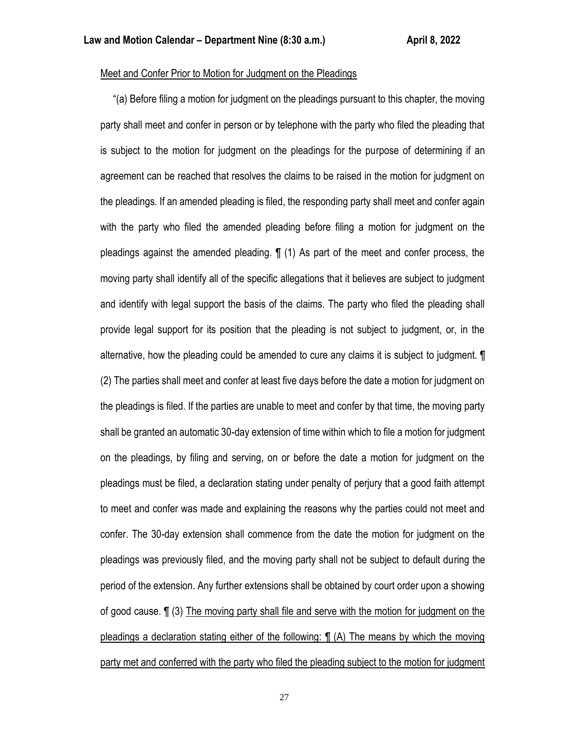### Meet and Confer Prior to Motion for Judgment on the Pleadings

 "(a) Before filing a motion for judgment on the pleadings pursuant to this chapter, the moving party shall meet and confer in person or by telephone with the party who filed the pleading that is subject to the motion for judgment on the pleadings for the purpose of determining if an agreement can be reached that resolves the claims to be raised in the motion for judgment on the pleadings. If an amended pleading is filed, the responding party shall meet and confer again with the party who filed the amended pleading before filing a motion for judgment on the pleadings against the amended pleading. ¶ (1) As part of the meet and confer process, the moving party shall identify all of the specific allegations that it believes are subject to judgment and identify with legal support the basis of the claims. The party who filed the pleading shall provide legal support for its position that the pleading is not subject to judgment, or, in the alternative, how the pleading could be amended to cure any claims it is subject to judgment. ¶ (2) The parties shall meet and confer at least five days before the date a motion for judgment on the pleadings is filed. If the parties are unable to meet and confer by that time, the moving party shall be granted an automatic 30-day extension of time within which to file a motion for judgment on the pleadings, by filing and serving, on or before the date a motion for judgment on the pleadings must be filed, a declaration stating under penalty of perjury that a good faith attempt to meet and confer was made and explaining the reasons why the parties could not meet and confer. The 30-day extension shall commence from the date the motion for judgment on the pleadings was previously filed, and the moving party shall not be subject to default during the period of the extension. Any further extensions shall be obtained by court order upon a showing of good cause. ¶ (3) The moving party shall file and serve with the motion for judgment on the pleadings a declaration stating either of the following: ¶ (A) The means by which the moving party met and conferred with the party who filed the pleading subject to the motion for judgment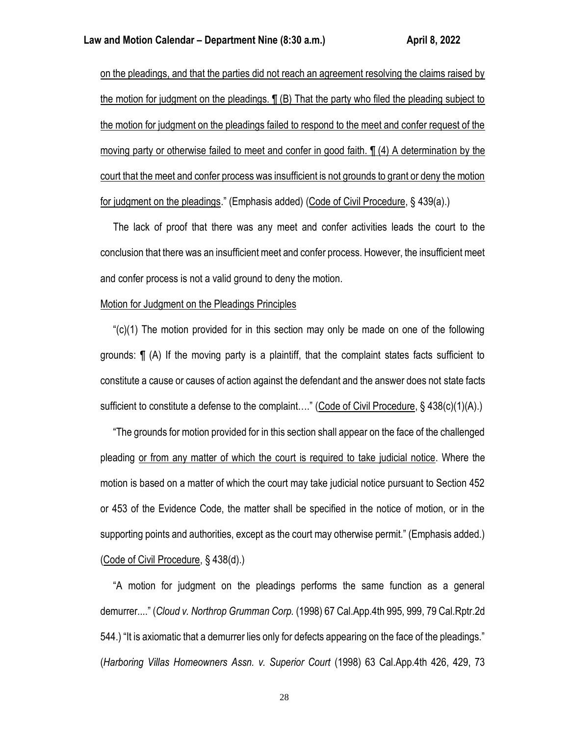on the pleadings, and that the parties did not reach an agreement resolving the claims raised by the motion for judgment on the pleadings. ¶ (B) That the party who filed the pleading subject to the motion for judgment on the pleadings failed to respond to the meet and confer request of the moving party or otherwise failed to meet and confer in good faith. ¶ (4) A determination by the court that the meet and confer process was insufficient is not grounds to grant or deny the motion for judgment on the pleadings." (Emphasis added) (Code of Civil Procedure, § 439(a).)

 The lack of proof that there was any meet and confer activities leads the court to the conclusion that there was an insufficient meet and confer process. However, the insufficient meet and confer process is not a valid ground to deny the motion.

### Motion for Judgment on the Pleadings Principles

 "(c)(1) The motion provided for in this section may only be made on one of the following grounds: ¶ (A) If the moving party is a plaintiff, that the complaint states facts sufficient to constitute a cause or causes of action against the defendant and the answer does not state facts sufficient to constitute a defense to the complaint...." (Code of Civil Procedure, § 438(c)(1)(A).)

 "The grounds for motion provided for in this section shall appear on the face of the challenged pleading or from any matter of which the court is required to take judicial notice. Where the motion is based on a matter of which the court may take judicial notice pursuant to Section 452 or 453 of the Evidence Code, the matter shall be specified in the notice of motion, or in the supporting points and authorities, except as the court may otherwise permit." (Emphasis added.) (Code of Civil Procedure, § 438(d).)

 "A motion for judgment on the pleadings performs the same function as a general demurrer...." (*Cloud v. Northrop Grumman Corp.* (1998) 67 Cal.App.4th 995, 999, 79 Cal.Rptr.2d 544.) "It is axiomatic that a demurrer lies only for defects appearing on the face of the pleadings." (*Harboring Villas Homeowners Assn. v. Superior Court* (1998) 63 Cal.App.4th 426, 429, 73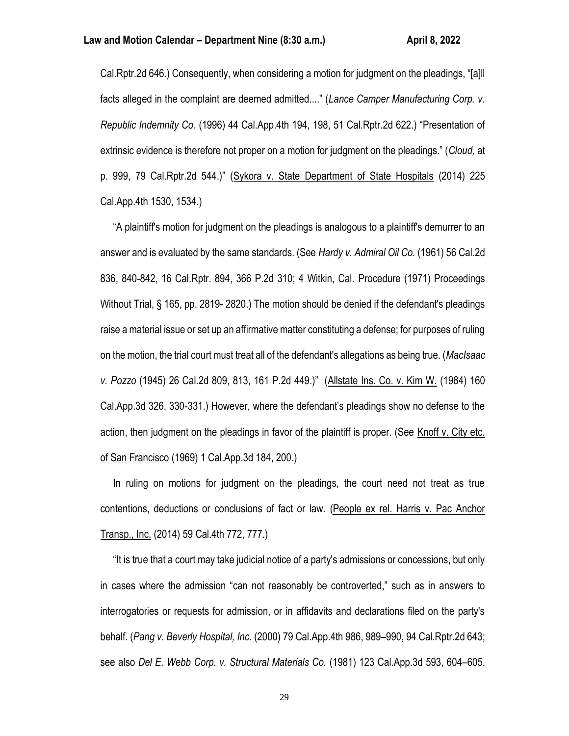Cal.Rptr.2d 646.) Consequently, when considering a motion for judgment on the pleadings, "[a]ll facts alleged in the complaint are deemed admitted...." (*Lance Camper Manufacturing Corp. v. Republic Indemnity Co.* (1996) 44 Cal.App.4th 194, 198, 51 Cal.Rptr.2d 622.) "Presentation of extrinsic evidence is therefore not proper on a motion for judgment on the pleadings." (*Cloud,* at p. 999, 79 Cal.Rptr.2d 544.)" (Sykora v. State Department of State Hospitals (2014) 225 Cal.App.4th 1530, 1534.)

 "A plaintiff's motion for judgment on the pleadings is analogous to a plaintiff's demurrer to an answer and is evaluated by the same standards. (See *Hardy v. Admiral Oil Co.* (1961) 56 Cal.2d 836, 840-842, 16 Cal.Rptr. 894, 366 P.2d 310; 4 Witkin, Cal. Procedure (1971) Proceedings Without Trial, § 165, pp. 2819- 2820.) The motion should be denied if the defendant's pleadings raise a material issue or set up an affirmative matter constituting a defense; for purposes of ruling on the motion, the trial court must treat all of the defendant's allegations as being true. (*MacIsaac v. Pozzo* (1945) 26 Cal.2d 809, 813, 161 P.2d 449.)" (Allstate Ins. Co. v. Kim W. (1984) 160 Cal.App.3d 326, 330-331.) However, where the defendant's pleadings show no defense to the action, then judgment on the pleadings in favor of the plaintiff is proper. (See Knoff v. City etc. of San Francisco (1969) 1 Cal.App.3d 184, 200.)

 In ruling on motions for judgment on the pleadings, the court need not treat as true contentions, deductions or conclusions of fact or law. (People ex rel. Harris v. Pac Anchor Transp., Inc. (2014) 59 Cal.4th 772, 777.)

 "It is true that a court may take judicial notice of a party's admissions or concessions, but only in cases where the admission "can not reasonably be controverted," such as in answers to interrogatories or requests for admission, or in affidavits and declarations filed on the party's behalf. (*Pang v. Beverly Hospital, Inc.* (2000) 79 Cal.App.4th 986, 989–990, 94 Cal.Rptr.2d 643; see also *Del E. Webb Corp. v. Structural Materials Co.* (1981) 123 Cal.App.3d 593, 604–605,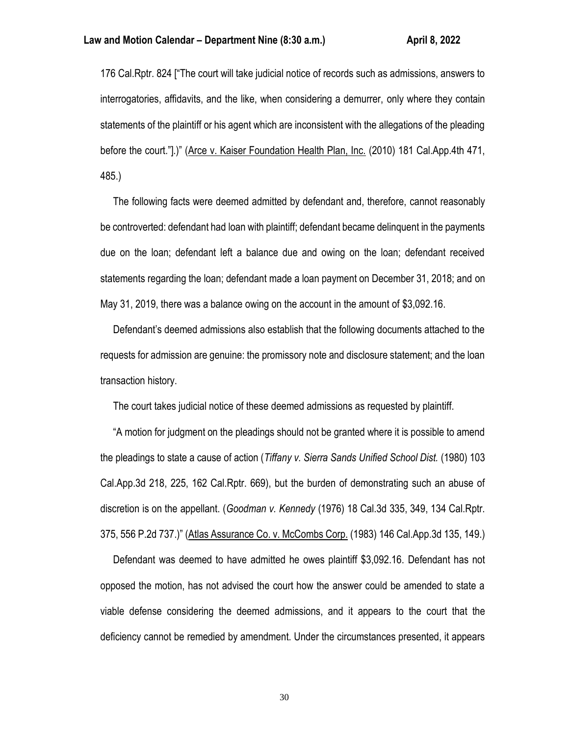176 Cal.Rptr. 824 ["The court will take judicial notice of records such as admissions, answers to interrogatories, affidavits, and the like, when considering a demurrer, only where they contain statements of the plaintiff or his agent which are inconsistent with the allegations of the pleading before the court."].)" (Arce v. Kaiser Foundation Health Plan, Inc. (2010) 181 Cal.App.4th 471, 485.)

 The following facts were deemed admitted by defendant and, therefore, cannot reasonably be controverted: defendant had loan with plaintiff; defendant became delinquent in the payments due on the loan; defendant left a balance due and owing on the loan; defendant received statements regarding the loan; defendant made a loan payment on December 31, 2018; and on May 31, 2019, there was a balance owing on the account in the amount of \$3,092.16.

 Defendant's deemed admissions also establish that the following documents attached to the requests for admission are genuine: the promissory note and disclosure statement; and the loan transaction history.

The court takes judicial notice of these deemed admissions as requested by plaintiff.

 "A motion for judgment on the pleadings should not be granted where it is possible to amend the pleadings to state a cause of action (*Tiffany v. Sierra Sands Unified School Dist.* (1980) 103 Cal.App.3d 218, 225, 162 Cal.Rptr. 669), but the burden of demonstrating such an abuse of discretion is on the appellant. (*Goodman v. Kennedy* (1976) 18 Cal.3d 335, 349, 134 Cal.Rptr. 375, 556 P.2d 737.)" (Atlas Assurance Co. v. McCombs Corp. (1983) 146 Cal.App.3d 135, 149.)

 Defendant was deemed to have admitted he owes plaintiff \$3,092.16. Defendant has not opposed the motion, has not advised the court how the answer could be amended to state a viable defense considering the deemed admissions, and it appears to the court that the deficiency cannot be remedied by amendment. Under the circumstances presented, it appears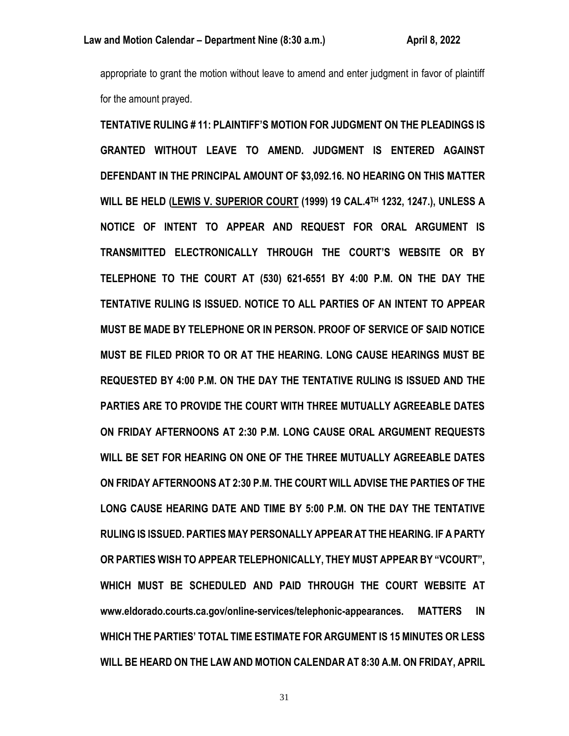appropriate to grant the motion without leave to amend and enter judgment in favor of plaintiff for the amount prayed.

**TENTATIVE RULING # 11: PLAINTIFF'S MOTION FOR JUDGMENT ON THE PLEADINGS IS GRANTED WITHOUT LEAVE TO AMEND. JUDGMENT IS ENTERED AGAINST DEFENDANT IN THE PRINCIPAL AMOUNT OF \$3,092.16. NO HEARING ON THIS MATTER WILL BE HELD (LEWIS V. SUPERIOR COURT (1999) 19 CAL.4TH 1232, 1247.), UNLESS A NOTICE OF INTENT TO APPEAR AND REQUEST FOR ORAL ARGUMENT IS TRANSMITTED ELECTRONICALLY THROUGH THE COURT'S WEBSITE OR BY TELEPHONE TO THE COURT AT (530) 621-6551 BY 4:00 P.M. ON THE DAY THE TENTATIVE RULING IS ISSUED. NOTICE TO ALL PARTIES OF AN INTENT TO APPEAR MUST BE MADE BY TELEPHONE OR IN PERSON. PROOF OF SERVICE OF SAID NOTICE MUST BE FILED PRIOR TO OR AT THE HEARING. LONG CAUSE HEARINGS MUST BE REQUESTED BY 4:00 P.M. ON THE DAY THE TENTATIVE RULING IS ISSUED AND THE PARTIES ARE TO PROVIDE THE COURT WITH THREE MUTUALLY AGREEABLE DATES ON FRIDAY AFTERNOONS AT 2:30 P.M. LONG CAUSE ORAL ARGUMENT REQUESTS WILL BE SET FOR HEARING ON ONE OF THE THREE MUTUALLY AGREEABLE DATES ON FRIDAY AFTERNOONS AT 2:30 P.M. THE COURT WILL ADVISE THE PARTIES OF THE LONG CAUSE HEARING DATE AND TIME BY 5:00 P.M. ON THE DAY THE TENTATIVE RULING IS ISSUED. PARTIES MAY PERSONALLY APPEAR AT THE HEARING. IF A PARTY OR PARTIES WISH TO APPEAR TELEPHONICALLY, THEY MUST APPEAR BY "VCOURT", WHICH MUST BE SCHEDULED AND PAID THROUGH THE COURT WEBSITE AT www.eldorado.courts.ca.gov/online-services/telephonic-appearances. MATTERS IN WHICH THE PARTIES' TOTAL TIME ESTIMATE FOR ARGUMENT IS 15 MINUTES OR LESS WILL BE HEARD ON THE LAW AND MOTION CALENDAR AT 8:30 A.M. ON FRIDAY, APRIL**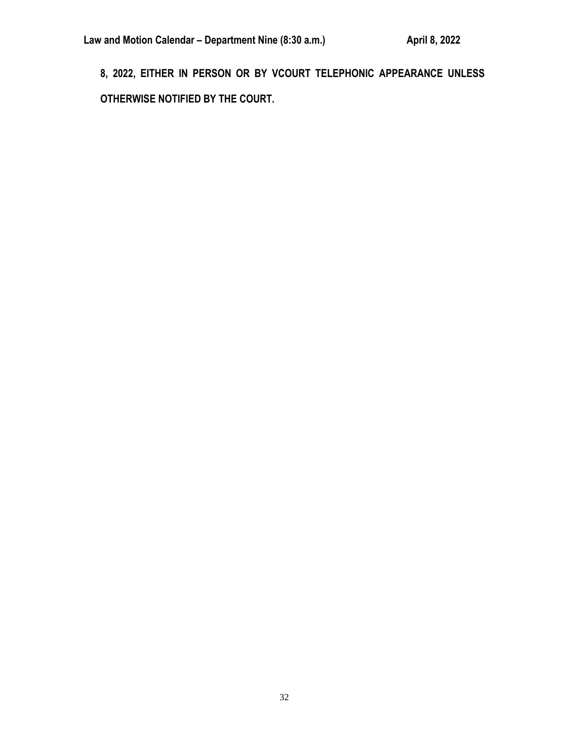**8, 2022, EITHER IN PERSON OR BY VCOURT TELEPHONIC APPEARANCE UNLESS OTHERWISE NOTIFIED BY THE COURT.**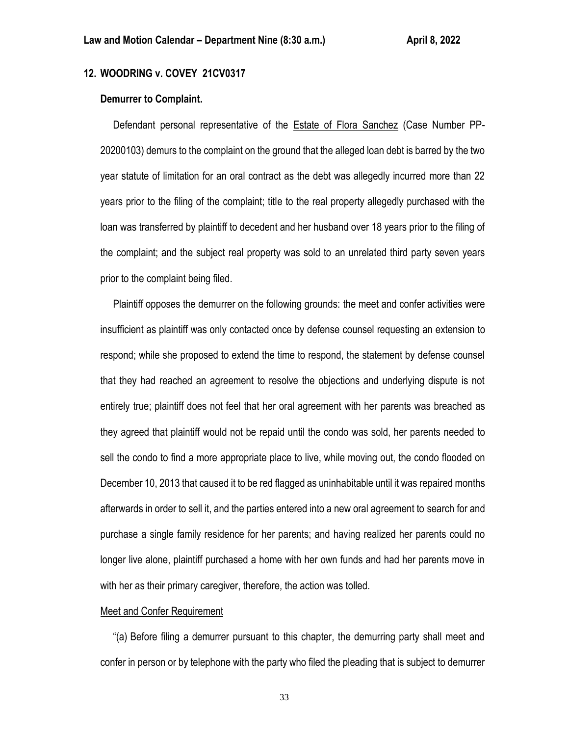# **12. WOODRING v. COVEY 21CV0317**

### **Demurrer to Complaint.**

Defendant personal representative of the **Estate of Flora Sanchez** (Case Number PP-20200103) demurs to the complaint on the ground that the alleged loan debt is barred by the two year statute of limitation for an oral contract as the debt was allegedly incurred more than 22 years prior to the filing of the complaint; title to the real property allegedly purchased with the loan was transferred by plaintiff to decedent and her husband over 18 years prior to the filing of the complaint; and the subject real property was sold to an unrelated third party seven years prior to the complaint being filed.

 Plaintiff opposes the demurrer on the following grounds: the meet and confer activities were insufficient as plaintiff was only contacted once by defense counsel requesting an extension to respond; while she proposed to extend the time to respond, the statement by defense counsel that they had reached an agreement to resolve the objections and underlying dispute is not entirely true; plaintiff does not feel that her oral agreement with her parents was breached as they agreed that plaintiff would not be repaid until the condo was sold, her parents needed to sell the condo to find a more appropriate place to live, while moving out, the condo flooded on December 10, 2013 that caused it to be red flagged as uninhabitable until it was repaired months afterwards in order to sell it, and the parties entered into a new oral agreement to search for and purchase a single family residence for her parents; and having realized her parents could no longer live alone, plaintiff purchased a home with her own funds and had her parents move in with her as their primary caregiver, therefore, the action was tolled.

#### Meet and Confer Requirement

 "(a) Before filing a demurrer pursuant to this chapter, the demurring party shall meet and confer in person or by telephone with the party who filed the pleading that is subject to demurrer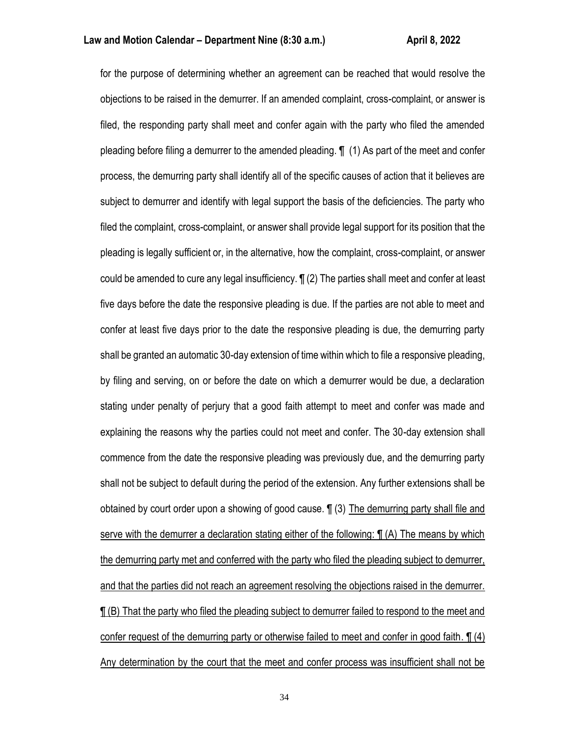for the purpose of determining whether an agreement can be reached that would resolve the objections to be raised in the demurrer. If an amended complaint, cross-complaint, or answer is filed, the responding party shall meet and confer again with the party who filed the amended pleading before filing a demurrer to the amended pleading. ¶ (1) As part of the meet and confer process, the demurring party shall identify all of the specific causes of action that it believes are subject to demurrer and identify with legal support the basis of the deficiencies. The party who filed the complaint, cross-complaint, or answer shall provide legal support for its position that the pleading is legally sufficient or, in the alternative, how the complaint, cross-complaint, or answer could be amended to cure any legal insufficiency. ¶ (2) The parties shall meet and confer at least five days before the date the responsive pleading is due. If the parties are not able to meet and confer at least five days prior to the date the responsive pleading is due, the demurring party shall be granted an automatic 30-day extension of time within which to file a responsive pleading, by filing and serving, on or before the date on which a demurrer would be due, a declaration stating under penalty of perjury that a good faith attempt to meet and confer was made and explaining the reasons why the parties could not meet and confer. The 30-day extension shall commence from the date the responsive pleading was previously due, and the demurring party shall not be subject to default during the period of the extension. Any further extensions shall be obtained by court order upon a showing of good cause. ¶ (3) The demurring party shall file and serve with the demurrer a declaration stating either of the following:  $\P(\mathsf{A})$  The means by which the demurring party met and conferred with the party who filed the pleading subject to demurrer, and that the parties did not reach an agreement resolving the objections raised in the demurrer. ¶ (B) That the party who filed the pleading subject to demurrer failed to respond to the meet and confer request of the demurring party or otherwise failed to meet and confer in good faith. ¶ (4) Any determination by the court that the meet and confer process was insufficient shall not be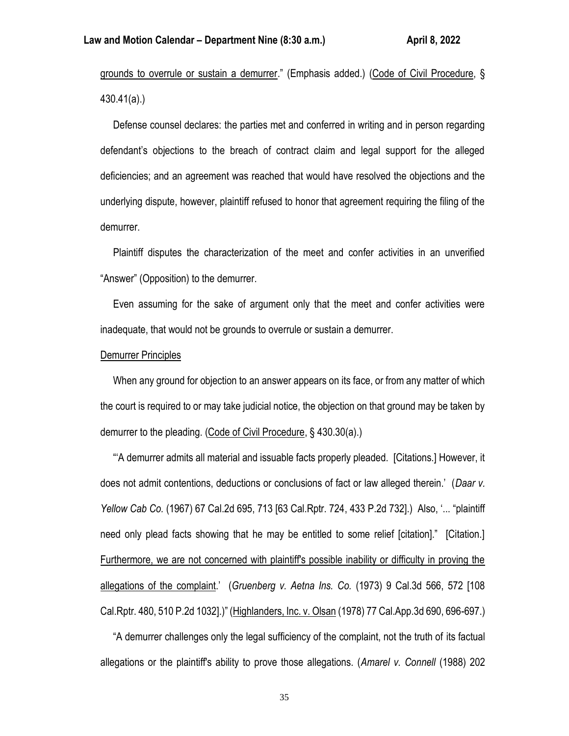grounds to overrule or sustain a demurrer." (Emphasis added.) (Code of Civil Procedure, § 430.41(a).)

 Defense counsel declares: the parties met and conferred in writing and in person regarding defendant's objections to the breach of contract claim and legal support for the alleged deficiencies; and an agreement was reached that would have resolved the objections and the underlying dispute, however, plaintiff refused to honor that agreement requiring the filing of the demurrer.

 Plaintiff disputes the characterization of the meet and confer activities in an unverified "Answer" (Opposition) to the demurrer.

 Even assuming for the sake of argument only that the meet and confer activities were inadequate, that would not be grounds to overrule or sustain a demurrer.

### Demurrer Principles

 When any ground for objection to an answer appears on its face, or from any matter of which the court is required to or may take judicial notice, the objection on that ground may be taken by demurrer to the pleading. (Code of Civil Procedure, § 430.30(a).)

 "'A demurrer admits all material and issuable facts properly pleaded. [Citations.] However, it does not admit contentions, deductions or conclusions of fact or law alleged therein.' (*Daar v. Yellow Cab Co.* (1967) 67 Cal.2d 695, 713 [63 Cal.Rptr. 724, 433 P.2d 732].) Also, '... "plaintiff need only plead facts showing that he may be entitled to some relief [citation]." [Citation.] Furthermore, we are not concerned with plaintiff's possible inability or difficulty in proving the allegations of the complaint.' (*Gruenberg v. Aetna Ins. Co.* (1973) 9 Cal.3d 566, 572 [108 Cal.Rptr. 480, 510 P.2d 1032].)" (Highlanders, Inc. v. Olsan (1978) 77 Cal.App.3d 690, 696-697.)

 "A demurrer challenges only the legal sufficiency of the complaint, not the truth of its factual allegations or the plaintiff's ability to prove those allegations. (*Amarel v. Connell* (1988) 202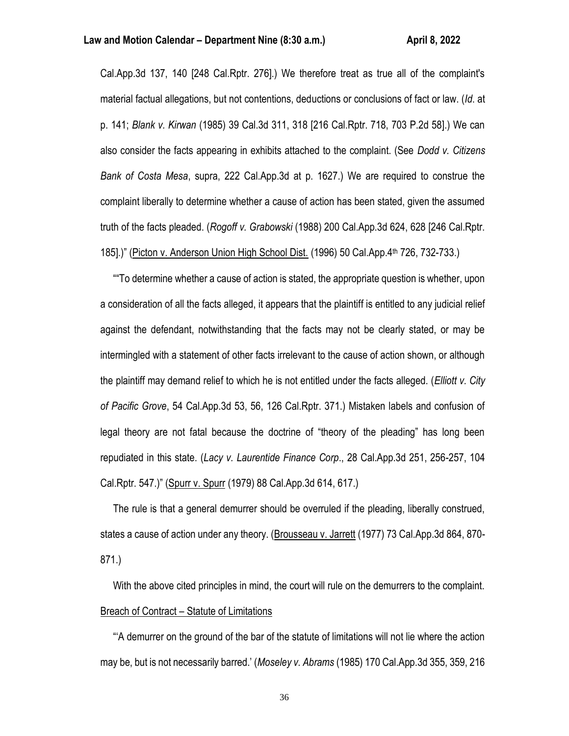Cal.App.3d 137, 140 [248 Cal.Rptr. 276].) We therefore treat as true all of the complaint's material factual allegations, but not contentions, deductions or conclusions of fact or law. (*Id*. at p. 141; *Blank v. Kirwan* (1985) 39 Cal.3d 311, 318 [216 Cal.Rptr. 718, 703 P.2d 58].) We can also consider the facts appearing in exhibits attached to the complaint. (See *Dodd v. Citizens Bank of Costa Mesa*, supra, 222 Cal.App.3d at p. 1627.) We are required to construe the complaint liberally to determine whether a cause of action has been stated, given the assumed truth of the facts pleaded. (*Rogoff v. Grabowski* (1988) 200 Cal.App.3d 624, 628 [246 Cal.Rptr. 185].)" (Picton v. Anderson Union High School Dist. (1996) 50 Cal.App.4th 726, 732-733.)

 ""To determine whether a cause of action is stated, the appropriate question is whether, upon a consideration of all the facts alleged, it appears that the plaintiff is entitled to any judicial relief against the defendant, notwithstanding that the facts may not be clearly stated, or may be intermingled with a statement of other facts irrelevant to the cause of action shown, or although the plaintiff may demand relief to which he is not entitled under the facts alleged. (*Elliott v. City of Pacific Grove*, 54 Cal.App.3d 53, 56, 126 Cal.Rptr. 371.) Mistaken labels and confusion of legal theory are not fatal because the doctrine of "theory of the pleading" has long been repudiated in this state. (*Lacy v. Laurentide Finance Corp*., 28 Cal.App.3d 251, 256-257, 104 Cal.Rptr. 547.)" (Spurr v. Spurr (1979) 88 Cal.App.3d 614, 617.)

 The rule is that a general demurrer should be overruled if the pleading, liberally construed, states a cause of action under any theory. (Brousseau v. Jarrett (1977) 73 Cal.App.3d 864, 870- 871.)

 With the above cited principles in mind, the court will rule on the demurrers to the complaint. Breach of Contract – Statute of Limitations

 "'A demurrer on the ground of the bar of the statute of limitations will not lie where the action may be, but is not necessarily barred.' (*Moseley v. Abrams* (1985) 170 Cal.App.3d 355, 359, 216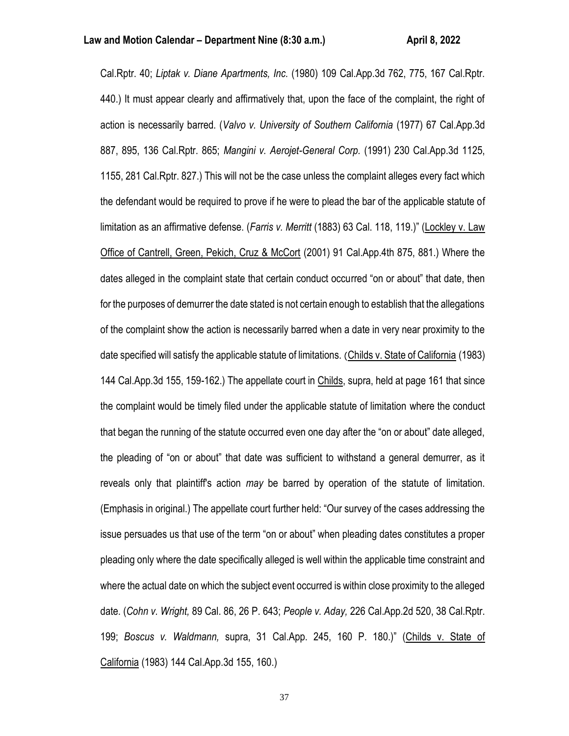Cal.Rptr. 40; *Liptak v. Diane Apartments, Inc.* (1980) 109 Cal.App.3d 762, 775, 167 Cal.Rptr. 440.) It must appear clearly and affirmatively that, upon the face of the complaint, the right of action is necessarily barred. (*Valvo v. University of Southern California* (1977) 67 Cal.App.3d 887, 895, 136 Cal.Rptr. 865; *Mangini v. Aerojet-General Corp.* (1991) 230 Cal.App.3d 1125, 1155, 281 Cal.Rptr. 827.) This will not be the case unless the complaint alleges every fact which the defendant would be required to prove if he were to plead the bar of the applicable statute of limitation as an affirmative defense. (*Farris v. Merritt* (1883) 63 Cal. 118, 119.)" (Lockley v. Law Office of Cantrell, Green, Pekich, Cruz & McCort (2001) 91 Cal.App.4th 875, 881.) Where the dates alleged in the complaint state that certain conduct occurred "on or about" that date, then for the purposes of demurrer the date stated is not certain enough to establish that the allegations of the complaint show the action is necessarily barred when a date in very near proximity to the date specified will satisfy the applicable statute of limitations. (Childs v. State of California (1983) 144 Cal.App.3d 155, 159-162.) The appellate court in Childs, supra, held at page 161 that since the complaint would be timely filed under the applicable statute of limitation where the conduct that began the running of the statute occurred even one day after the "on or about" date alleged, the pleading of "on or about" that date was sufficient to withstand a general demurrer, as it reveals only that plaintiff's action *may* be barred by operation of the statute of limitation. (Emphasis in original.) The appellate court further held: "Our survey of the cases addressing the issue persuades us that use of the term "on or about" when pleading dates constitutes a proper pleading only where the date specifically alleged is well within the applicable time constraint and where the actual date on which the subject event occurred is within close proximity to the alleged date. (*Cohn v. Wright,* 89 Cal. 86, 26 P. 643; *People v. Aday,* 226 Cal.App.2d 520, 38 Cal.Rptr. 199; *Boscus v. Waldmann,* supra, 31 Cal.App. 245, 160 P. 180.)" (Childs v. State of California (1983) 144 Cal.App.3d 155, 160.)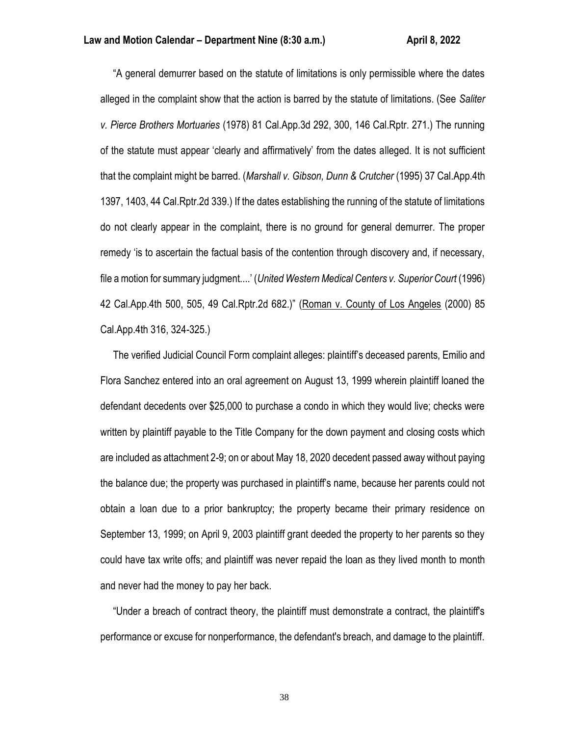"A general demurrer based on the statute of limitations is only permissible where the dates alleged in the complaint show that the action is barred by the statute of limitations. (See *Saliter v. Pierce Brothers Mortuaries* (1978) 81 Cal.App.3d 292, 300, 146 Cal.Rptr. 271.) The running of the statute must appear 'clearly and affirmatively' from the dates alleged. It is not sufficient that the complaint might be barred. (*Marshall v. Gibson, Dunn & Crutcher* (1995) 37 Cal.App.4th 1397, 1403, 44 Cal.Rptr.2d 339.) If the dates establishing the running of the statute of limitations do not clearly appear in the complaint, there is no ground for general demurrer. The proper remedy 'is to ascertain the factual basis of the contention through discovery and, if necessary, file a motion for summary judgment....' (*United Western Medical Centers v. Superior Court* (1996) 42 Cal.App.4th 500, 505, 49 Cal.Rptr.2d 682.)" (Roman v. County of Los Angeles (2000) 85 Cal.App.4th 316, 324-325.)

 The verified Judicial Council Form complaint alleges: plaintiff's deceased parents, Emilio and Flora Sanchez entered into an oral agreement on August 13, 1999 wherein plaintiff loaned the defendant decedents over \$25,000 to purchase a condo in which they would live; checks were written by plaintiff payable to the Title Company for the down payment and closing costs which are included as attachment 2-9; on or about May 18, 2020 decedent passed away without paying the balance due; the property was purchased in plaintiff's name, because her parents could not obtain a loan due to a prior bankruptcy; the property became their primary residence on September 13, 1999; on April 9, 2003 plaintiff grant deeded the property to her parents so they could have tax write offs; and plaintiff was never repaid the loan as they lived month to month and never had the money to pay her back.

 "Under a breach of contract theory, the plaintiff must demonstrate a contract, the plaintiff's performance or excuse for nonperformance, the defendant's breach, and damage to the plaintiff.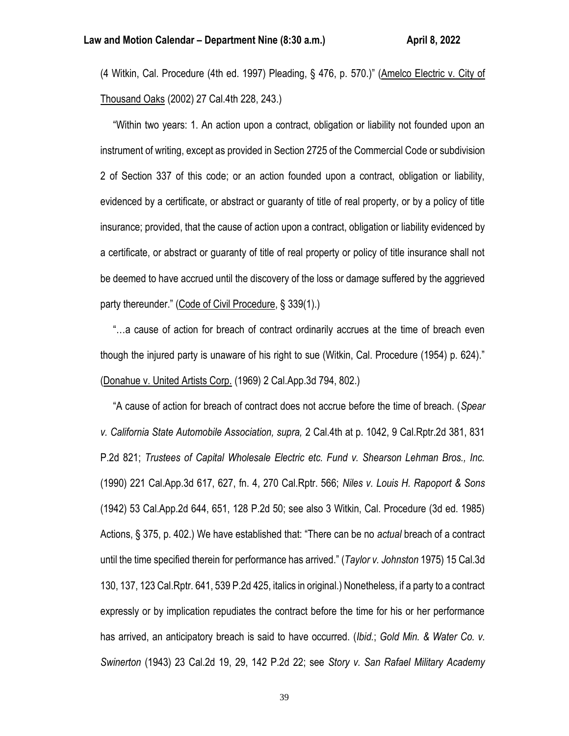(4 Witkin, Cal. Procedure (4th ed. 1997) Pleading, § 476, p. 570.)" (Amelco Electric v. City of Thousand Oaks (2002) 27 Cal.4th 228, 243.)

 "Within two years: 1. An action upon a contract, obligation or liability not founded upon an instrument of writing, except as provided in Section 2725 of the Commercial Code or subdivision 2 of Section 337 of this code; or an action founded upon a contract, obligation or liability, evidenced by a certificate, or abstract or guaranty of title of real property, or by a policy of title insurance; provided, that the cause of action upon a contract, obligation or liability evidenced by a certificate, or abstract or guaranty of title of real property or policy of title insurance shall not be deemed to have accrued until the discovery of the loss or damage suffered by the aggrieved party thereunder." (Code of Civil Procedure, § 339(1).)

 "…a cause of action for breach of contract ordinarily accrues at the time of breach even though the injured party is unaware of his right to sue (Witkin, Cal. Procedure (1954) p. 624)." (Donahue v. United Artists Corp. (1969) 2 Cal.App.3d 794, 802.)

 "A cause of action for breach of contract does not accrue before the time of breach. (*Spear v. California State Automobile Association, supra,* 2 Cal.4th at p. 1042, 9 Cal.Rptr.2d 381, 831 P.2d 821; *Trustees of Capital Wholesale Electric etc. Fund v. Shearson Lehman Bros., Inc.* (1990) 221 Cal.App.3d 617, 627, fn. 4, 270 Cal.Rptr. 566; *Niles v. Louis H. Rapoport & Sons* (1942) 53 Cal.App.2d 644, 651, 128 P.2d 50; see also 3 Witkin, Cal. Procedure (3d ed. 1985) Actions, § 375, p. 402.) We have established that: "There can be no *actual* breach of a contract until the time specified therein for performance has arrived." (*Taylor v. Johnston* 1975) 15 Cal.3d 130, 137, 123 Cal.Rptr. 641, 539 P.2d 425, italics in original.) Nonetheless, if a party to a contract expressly or by implication repudiates the contract before the time for his or her performance has arrived, an anticipatory breach is said to have occurred. (*Ibid.*; *Gold Min. & Water Co. v. Swinerton* (1943) 23 Cal.2d 19, 29, 142 P.2d 22; see *Story v. San Rafael Military Academy*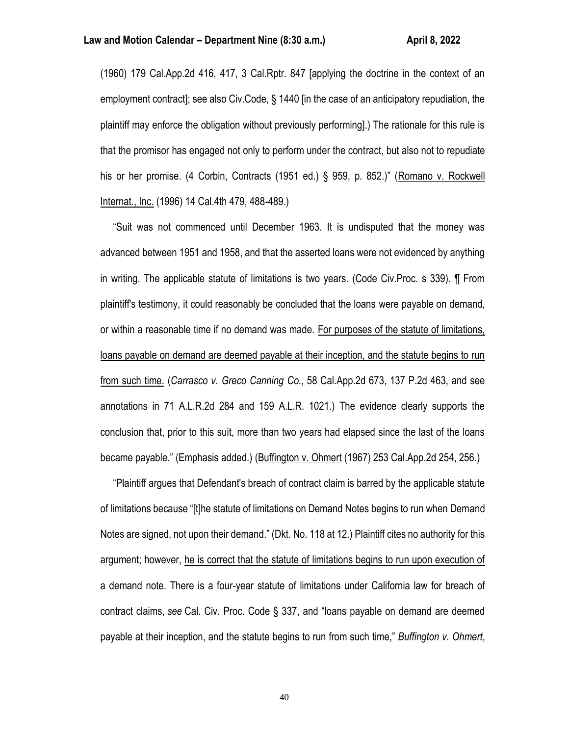(1960) 179 Cal.App.2d 416, 417, 3 Cal.Rptr. 847 [applying the doctrine in the context of an employment contract]; see also Civ.Code, § 1440 [in the case of an anticipatory repudiation, the plaintiff may enforce the obligation without previously performing].) The rationale for this rule is that the promisor has engaged not only to perform under the contract, but also not to repudiate his or her promise. (4 Corbin, Contracts (1951 ed.) § 959, p. 852.)" (Romano v. Rockwell Internat., Inc. (1996) 14 Cal.4th 479, 488-489.)

 "Suit was not commenced until December 1963. It is undisputed that the money was advanced between 1951 and 1958, and that the asserted loans were not evidenced by anything in writing. The applicable statute of limitations is two years. (Code Civ.Proc. s 339). ¶ From plaintiff's testimony, it could reasonably be concluded that the loans were payable on demand, or within a reasonable time if no demand was made. For purposes of the statute of limitations, loans payable on demand are deemed payable at their inception, and the statute begins to run from such time. (*Carrasco v. Greco Canning Co.*, 58 Cal.App.2d 673, 137 P.2d 463, and see annotations in 71 A.L.R.2d 284 and 159 A.L.R. 1021.) The evidence clearly supports the conclusion that, prior to this suit, more than two years had elapsed since the last of the loans became payable." (Emphasis added.) (Buffington v. Ohmert (1967) 253 Cal.App.2d 254, 256.)

 "Plaintiff argues that Defendant's breach of contract claim is barred by the applicable statute of limitations because "[t]he statute of limitations on Demand Notes begins to run when Demand Notes are signed, not upon their demand." (Dkt. No. 118 at 12.) Plaintiff cites no authority for this argument; however, he is correct that the statute of limitations begins to run upon execution of a demand note. There is a four-year statute of limitations under California law for breach of contract claims, *see* Cal. Civ. Proc. Code § 337, and "loans payable on demand are deemed payable at their inception, and the statute begins to run from such time," *Buffington v. Ohmert*,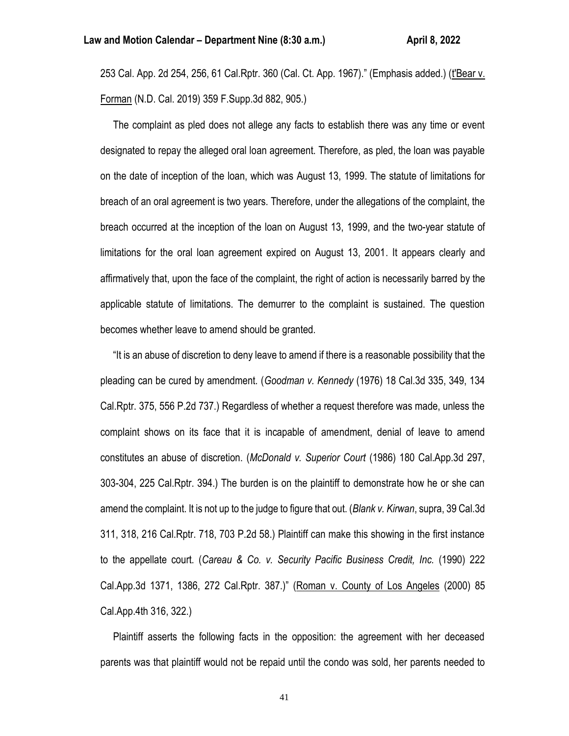253 Cal. App. 2d 254, 256, 61 Cal.Rptr. 360 (Cal. Ct. App. 1967)." (Emphasis added.) (t'Bear v. Forman (N.D. Cal. 2019) 359 F.Supp.3d 882, 905.)

 The complaint as pled does not allege any facts to establish there was any time or event designated to repay the alleged oral loan agreement. Therefore, as pled, the loan was payable on the date of inception of the loan, which was August 13, 1999. The statute of limitations for breach of an oral agreement is two years. Therefore, under the allegations of the complaint, the breach occurred at the inception of the loan on August 13, 1999, and the two-year statute of limitations for the oral loan agreement expired on August 13, 2001. It appears clearly and affirmatively that, upon the face of the complaint, the right of action is necessarily barred by the applicable statute of limitations. The demurrer to the complaint is sustained. The question becomes whether leave to amend should be granted.

 "It is an abuse of discretion to deny leave to amend if there is a reasonable possibility that the pleading can be cured by amendment. (*Goodman v. Kennedy* (1976) 18 Cal.3d 335, 349, 134 Cal.Rptr. 375, 556 P.2d 737.) Regardless of whether a request therefore was made, unless the complaint shows on its face that it is incapable of amendment, denial of leave to amend constitutes an abuse of discretion. (*McDonald v. Superior Court* (1986) 180 Cal.App.3d 297, 303-304, 225 Cal.Rptr. 394.) The burden is on the plaintiff to demonstrate how he or she can amend the complaint. It is not up to the judge to figure that out. (*Blank v. Kirwan*, supra, 39 Cal.3d 311, 318, 216 Cal.Rptr. 718, 703 P.2d 58.) Plaintiff can make this showing in the first instance to the appellate court. (*Careau & Co. v. Security Pacific Business Credit, Inc.* (1990) 222 Cal.App.3d 1371, 1386, 272 Cal.Rptr. 387.)" (Roman v. County of Los Angeles (2000) 85 Cal.App.4th 316, 322.)

 Plaintiff asserts the following facts in the opposition: the agreement with her deceased parents was that plaintiff would not be repaid until the condo was sold, her parents needed to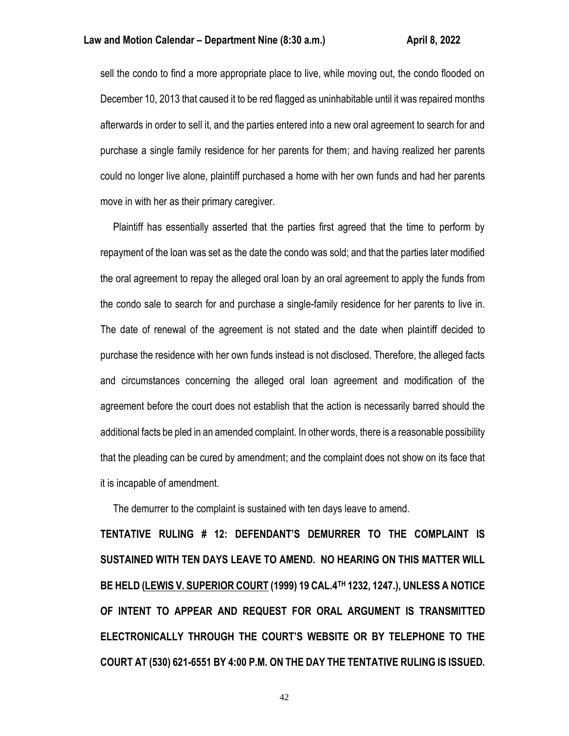sell the condo to find a more appropriate place to live, while moving out, the condo flooded on December 10, 2013 that caused it to be red flagged as uninhabitable until it was repaired months afterwards in order to sell it, and the parties entered into a new oral agreement to search for and purchase a single family residence for her parents for them; and having realized her parents could no longer live alone, plaintiff purchased a home with her own funds and had her parents move in with her as their primary caregiver.

 Plaintiff has essentially asserted that the parties first agreed that the time to perform by repayment of the loan was set as the date the condo was sold; and that the parties later modified the oral agreement to repay the alleged oral loan by an oral agreement to apply the funds from the condo sale to search for and purchase a single-family residence for her parents to live in. The date of renewal of the agreement is not stated and the date when plaintiff decided to purchase the residence with her own funds instead is not disclosed. Therefore, the alleged facts and circumstances concerning the alleged oral loan agreement and modification of the agreement before the court does not establish that the action is necessarily barred should the additional facts be pled in an amended complaint. In other words, there is a reasonable possibility that the pleading can be cured by amendment; and the complaint does not show on its face that it is incapable of amendment.

The demurrer to the complaint is sustained with ten days leave to amend.

**TENTATIVE RULING # 12: DEFENDANT'S DEMURRER TO THE COMPLAINT IS SUSTAINED WITH TEN DAYS LEAVE TO AMEND. NO HEARING ON THIS MATTER WILL BE HELD (LEWIS V. SUPERIOR COURT (1999) 19 CAL.4TH 1232, 1247.), UNLESS A NOTICE OF INTENT TO APPEAR AND REQUEST FOR ORAL ARGUMENT IS TRANSMITTED ELECTRONICALLY THROUGH THE COURT'S WEBSITE OR BY TELEPHONE TO THE COURT AT (530) 621-6551 BY 4:00 P.M. ON THE DAY THE TENTATIVE RULING IS ISSUED.**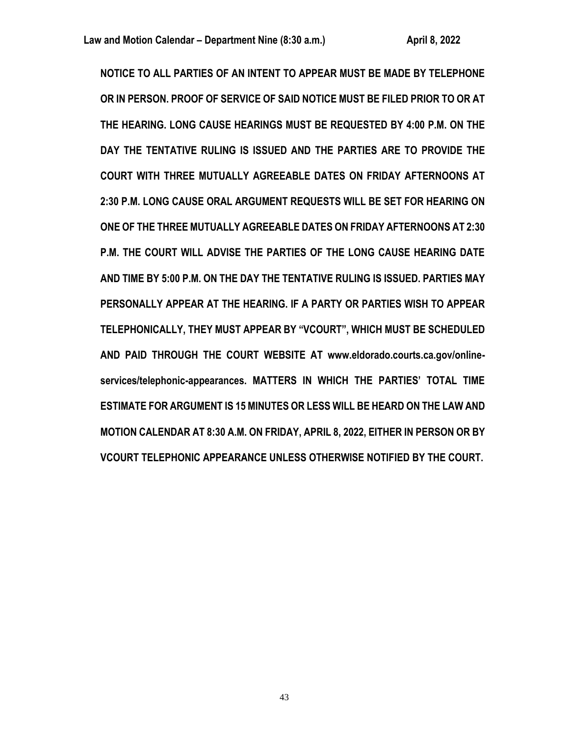**NOTICE TO ALL PARTIES OF AN INTENT TO APPEAR MUST BE MADE BY TELEPHONE OR IN PERSON. PROOF OF SERVICE OF SAID NOTICE MUST BE FILED PRIOR TO OR AT THE HEARING. LONG CAUSE HEARINGS MUST BE REQUESTED BY 4:00 P.M. ON THE DAY THE TENTATIVE RULING IS ISSUED AND THE PARTIES ARE TO PROVIDE THE COURT WITH THREE MUTUALLY AGREEABLE DATES ON FRIDAY AFTERNOONS AT 2:30 P.M. LONG CAUSE ORAL ARGUMENT REQUESTS WILL BE SET FOR HEARING ON ONE OF THE THREE MUTUALLY AGREEABLE DATES ON FRIDAY AFTERNOONS AT 2:30 P.M. THE COURT WILL ADVISE THE PARTIES OF THE LONG CAUSE HEARING DATE AND TIME BY 5:00 P.M. ON THE DAY THE TENTATIVE RULING IS ISSUED. PARTIES MAY PERSONALLY APPEAR AT THE HEARING. IF A PARTY OR PARTIES WISH TO APPEAR TELEPHONICALLY, THEY MUST APPEAR BY "VCOURT", WHICH MUST BE SCHEDULED AND PAID THROUGH THE COURT WEBSITE AT www.eldorado.courts.ca.gov/onlineservices/telephonic-appearances. MATTERS IN WHICH THE PARTIES' TOTAL TIME ESTIMATE FOR ARGUMENT IS 15 MINUTES OR LESS WILL BE HEARD ON THE LAW AND MOTION CALENDAR AT 8:30 A.M. ON FRIDAY, APRIL 8, 2022, EITHER IN PERSON OR BY VCOURT TELEPHONIC APPEARANCE UNLESS OTHERWISE NOTIFIED BY THE COURT.**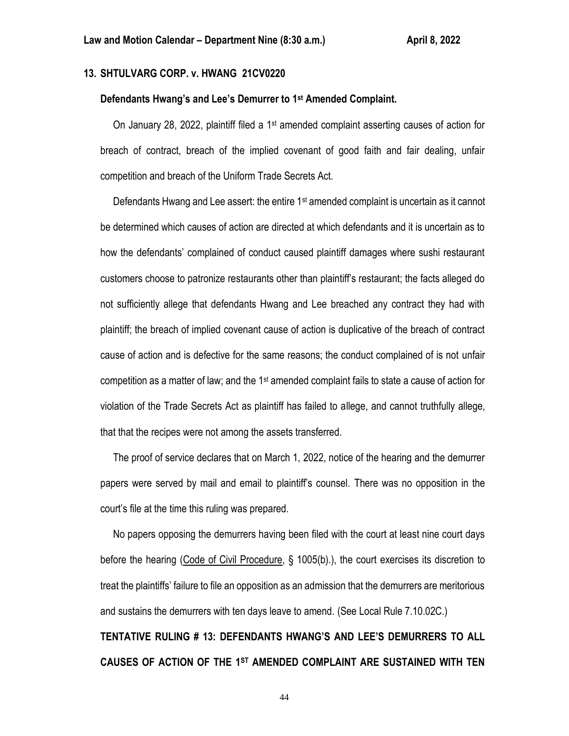## **13. SHTULVARG CORP. v. HWANG 21CV0220**

### **Defendants Hwang's and Lee's Demurrer to 1 st Amended Complaint.**

 On January 28, 2022, plaintiff filed a 1st amended complaint asserting causes of action for breach of contract, breach of the implied covenant of good faith and fair dealing, unfair competition and breach of the Uniform Trade Secrets Act.

Defendants Hwang and Lee assert: the entire  $1st$  amended complaint is uncertain as it cannot be determined which causes of action are directed at which defendants and it is uncertain as to how the defendants' complained of conduct caused plaintiff damages where sushi restaurant customers choose to patronize restaurants other than plaintiff's restaurant; the facts alleged do not sufficiently allege that defendants Hwang and Lee breached any contract they had with plaintiff; the breach of implied covenant cause of action is duplicative of the breach of contract cause of action and is defective for the same reasons; the conduct complained of is not unfair competition as a matter of law; and the 1<sup>st</sup> amended complaint fails to state a cause of action for violation of the Trade Secrets Act as plaintiff has failed to allege, and cannot truthfully allege, that that the recipes were not among the assets transferred.

 The proof of service declares that on March 1, 2022, notice of the hearing and the demurrer papers were served by mail and email to plaintiff's counsel. There was no opposition in the court's file at the time this ruling was prepared.

 No papers opposing the demurrers having been filed with the court at least nine court days before the hearing (Code of Civil Procedure, § 1005(b).), the court exercises its discretion to treat the plaintiffs' failure to file an opposition as an admission that the demurrers are meritorious and sustains the demurrers with ten days leave to amend. (See Local Rule 7.10.02C.)

**TENTATIVE RULING # 13: DEFENDANTS HWANG'S AND LEE'S DEMURRERS TO ALL CAUSES OF ACTION OF THE 1ST AMENDED COMPLAINT ARE SUSTAINED WITH TEN**